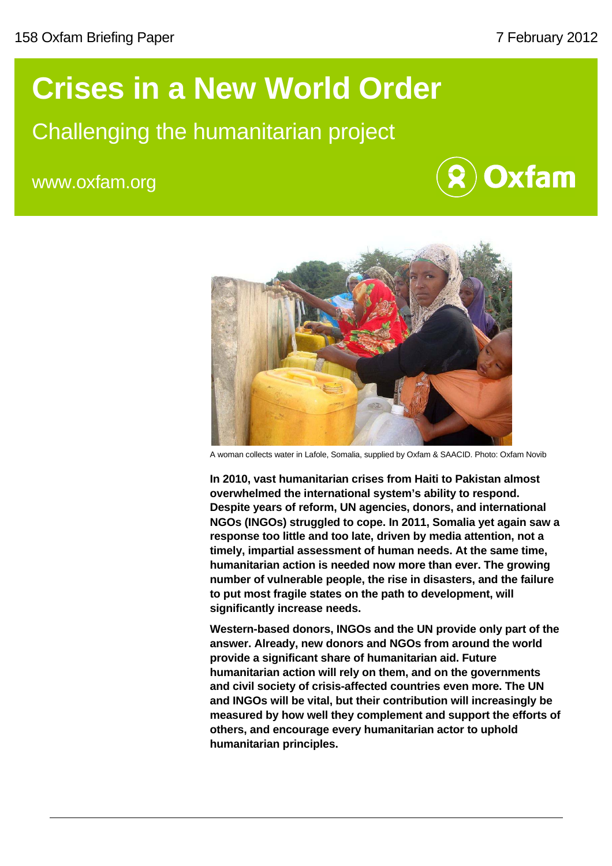## **Crises in a New World Order**

### Challenging the humanitarian project

www.oxfam.org





A woman collects water in Lafole, Somalia, supplied by Oxfam & SAACID. Photo: Oxfam Novib

**In 2010, vast humanitarian crises from Haiti to Pakistan almost overwhelmed the international system's ability to respond. Despite years of reform, UN agencies, donors, and international NGOs (INGOs) struggled to cope. In 2011, Somalia yet again saw a response too little and too late, driven by media attention, not a timely, impartial assessment of human needs. At the same time, humanitarian action is needed now more than ever. The growing number of vulnerable people, the rise in disasters, and the failure to put most fragile states on the path to development, will significantly increase needs.** 

**Western-based donors, INGOs and the UN provide only part of the answer. Already, new donors and NGOs from around the world provide a significant share of humanitarian aid. Future humanitarian action will rely on them, and on the governments and civil society of crisis-affected countries even more. The UN and INGOs will be vital, but their contribution will increasingly be measured by how well they complement and support the efforts of others, and encourage every humanitarian actor to uphold humanitarian principles.**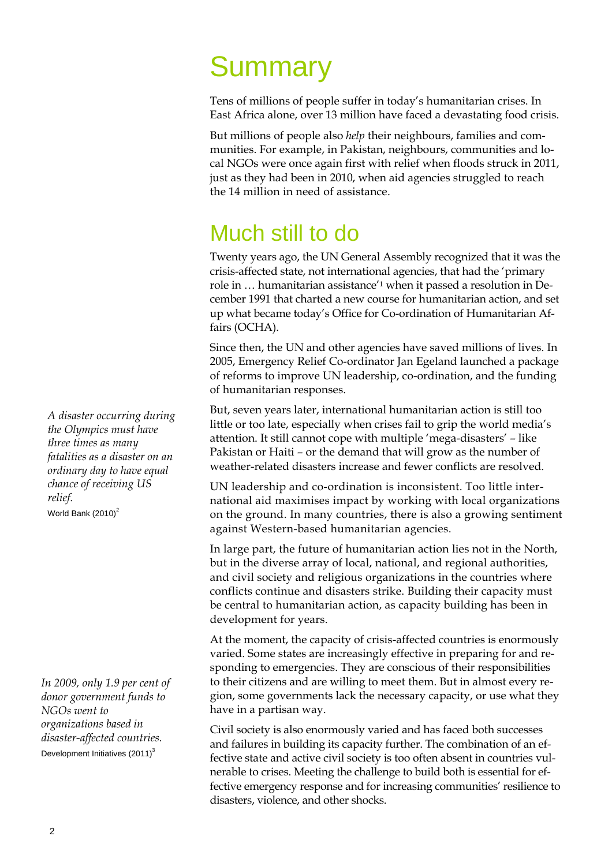# **Summary**

Tens of millions of people suffer in today's humanitarian crises. In East Africa alone, over 13 million have faced a devastating food crisis.

But millions of people also *help* their neighbours, families and communities. For example, in Pakistan, neighbours, communities and local NGOs were once again first with relief when floods struck in 2011, just as they had been in 2010, when aid agencies struggled to reach the 14 million in need of assistance.

## Much still to do

Twenty years ago, the UN General Assembly recognized that it was the crisis-affected state, not international agencies, that had the 'primary role in … humanitarian assistance'1 when it passed a resolution in December 1991 that charted a new course for humanitarian action, and set up what became today's Office for Co-ordination of Humanitarian Affairs (OCHA).

Since then, the UN and other agencies have saved millions of lives. In 2005, Emergency Relief Co-ordinator Jan Egeland launched a package of reforms to improve UN leadership, co-ordination, and the funding of humanitarian responses.

But, seven years later, international humanitarian action is still too little or too late, especially when crises fail to grip the world media's attention. It still cannot cope with multiple 'mega-disasters' – like Pakistan or Haiti – or the demand that will grow as the number of weather-related disasters increase and fewer conflicts are resolved.

UN leadership and co-ordination is inconsistent. Too little international aid maximises impact by working with local organizations on the ground. In many countries, there is also a growing sentiment against Western-based humanitarian agencies.

In large part, the future of humanitarian action lies not in the North, but in the diverse array of local, national, and regional authorities, and civil society and religious organizations in the countries where conflicts continue and disasters strike. Building their capacity must be central to humanitarian action, as capacity building has been in development for years.

At the moment, the capacity of crisis-affected countries is enormously varied. Some states are increasingly effective in preparing for and responding to emergencies. They are conscious of their responsibilities to their citizens and are willing to meet them. But in almost every region, some governments lack the necessary capacity, or use what they have in a partisan way.

Civil society is also enormously varied and has faced both successes and failures in building its capacity further. The combination of an effective state and active civil society is too often absent in countries vulnerable to crises. Meeting the challenge to build both is essential for effective emergency response and for increasing communities' resilience to disasters, violence, and other shocks.

*A disaster occurring during the Olympics must have three times as many fatalities as a disaster on an ordinary day to have equal chance of receiving US relief.*  World Bank  $(2010)^2$ 

*In 2009, only 1.9 per cent of donor government funds to NGOs went to organizations based in disaster-affected countries.*  Development Initiatives  $(2011)^3$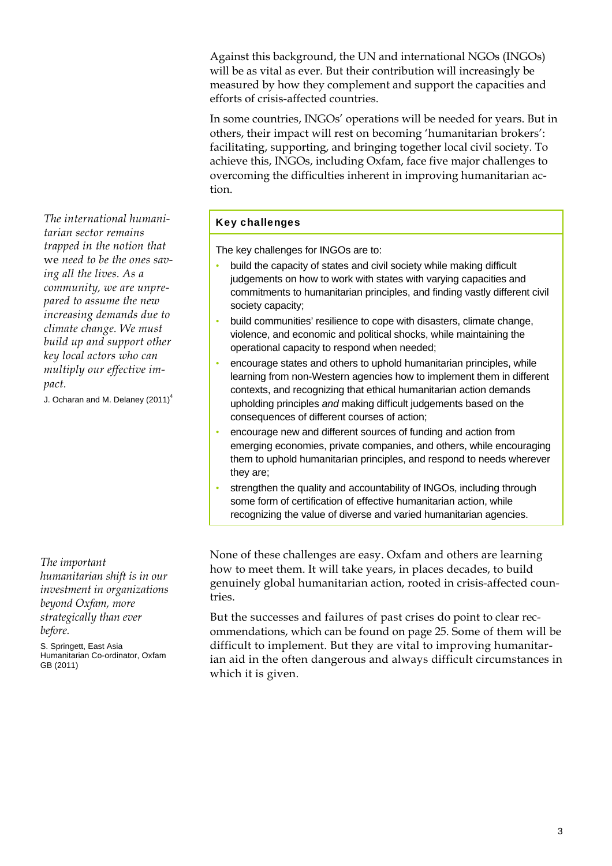Against this background, the UN and international NGOs (INGOs) will be as vital as ever. But their contribution will increasingly be measured by how they complement and support the capacities and efforts of crisis-affected countries.

In some countries, INGOs' operations will be needed for years. But in others, their impact will rest on becoming 'humanitarian brokers': facilitating, supporting, and bringing together local civil society. To achieve this, INGOs, including Oxfam, face five major challenges to overcoming the difficulties inherent in improving humanitarian action.

### Key challenges

The key challenges for INGOs are to:

- build the capacity of states and civil society while making difficult judgements on how to work with states with varying capacities and commitments to humanitarian principles, and finding vastly different civil society capacity;
- build communities' resilience to cope with disasters, climate change, violence, and economic and political shocks, while maintaining the operational capacity to respond when needed;
- encourage states and others to uphold humanitarian principles, while learning from non-Western agencies how to implement them in different contexts, and recognizing that ethical humanitarian action demands upholding principles *and* making difficult judgements based on the consequences of different courses of action;
- encourage new and different sources of funding and action from emerging economies, private companies, and others, while encouraging them to uphold humanitarian principles, and respond to needs wherever they are;
- strengthen the quality and accountability of INGOs, including through some form of certification of effective humanitarian action, while recognizing the value of diverse and varied humanitarian agencies.

None of these challenges are easy. Oxfam and others are learning how to meet them. It will take years, in places decades, to build genuinely global humanitarian action, rooted in crisis-affected countries.

But the successes and failures of past crises do point to clear recommendations, which can be found on page 25. Some of them will be difficult to implement. But they are vital to improving humanitarian aid in the often dangerous and always difficult circumstances in which it is given.

*The international humanitarian sector remains trapped in the notion that*  we *need to be the ones saving all the lives. As a community, we are unprepared to assume the new increasing demands due to climate change. We must build up and support other key local actors who can multiply our effective impact.*

J. Ocharan and M. Delaney (2011)<sup>4</sup>

*The important* 

*humanitarian shift is in our investment in organizations beyond Oxfam, more strategically than ever before.* 

S. Springett, East Asia Humanitarian Co-ordinator, Oxfam GB (2011)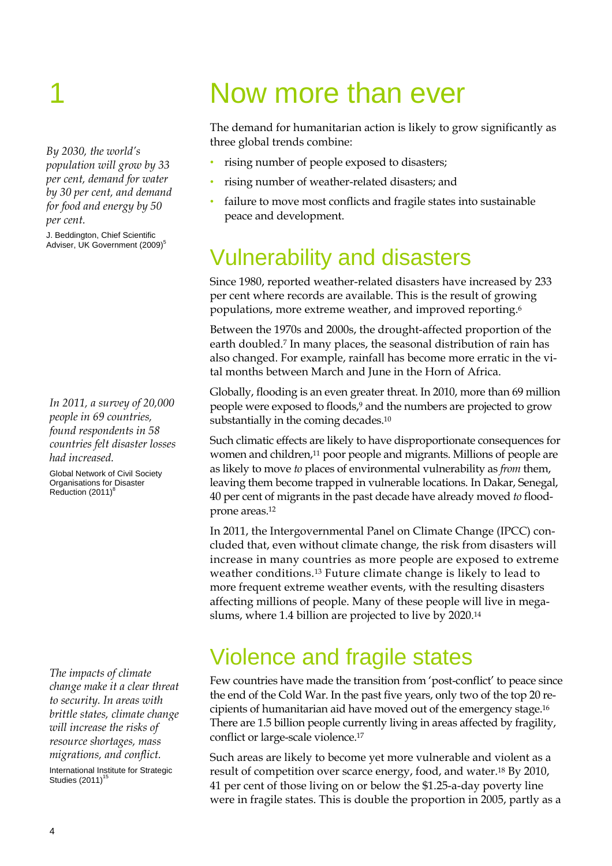*By 2030, the world's population will grow by 33 per cent, demand for water by 30 per cent, and demand for food and energy by 50 per cent.* 

J. Beddington, Chief Scientific Adviser, UK Government (2009)<sup>5</sup>

*In 2011, a survey of 20,000 people in 69 countries, found respondents in 58 countries felt disaster losses had increased.* 

Global Network of Civil Society Organisations for Disaster Reduction (2011)<sup>8</sup>

*The impacts of climate change make it a clear threat to security. In areas with brittle states, climate change will increase the risks of resource shortages, mass migrations, and conflict.*  International Institute for Strategic Studies  $(2011)^{15}$ 

## Now more than ever

The demand for humanitarian action is likely to grow significantly as three global trends combine:

- rising number of people exposed to disasters;
- rising number of weather-related disasters; and
- failure to move most conflicts and fragile states into sustainable peace and development.

## Vulnerability and disasters

Since 1980, reported weather-related disasters have increased by 233 per cent where records are available. This is the result of growing populations, more extreme weather, and improved reporting.6

Between the 1970s and 2000s, the drought-affected proportion of the earth doubled.7 In many places, the seasonal distribution of rain has also changed. For example, rainfall has become more erratic in the vital months between March and June in the Horn of Africa.

Globally, flooding is an even greater threat. In 2010, more than 69 million people were exposed to floods,9 and the numbers are projected to grow substantially in the coming decades.<sup>10</sup>

Such climatic effects are likely to have disproportionate consequences for women and children,<sup>11</sup> poor people and migrants. Millions of people are as likely to move *to* places of environmental vulnerability as *from* them, leaving them become trapped in vulnerable locations. In Dakar, Senegal, 40 per cent of migrants in the past decade have already moved *to* floodprone areas.12

In 2011, the Intergovernmental Panel on Climate Change (IPCC) concluded that, even without climate change, the risk from disasters will increase in many countries as more people are exposed to extreme weather conditions.13 Future climate change is likely to lead to more frequent extreme weather events, with the resulting disasters affecting millions of people. Many of these people will live in megaslums, where 1.4 billion are projected to live by 2020.14

### Violence and fragile states

Few countries have made the transition from 'post-conflict' to peace since the end of the Cold War. In the past five years, only two of the top 20 recipients of humanitarian aid have moved out of the emergency stage.16 There are 1.5 billion people currently living in areas affected by fragility, conflict or large-scale violence.17

Such areas are likely to become yet more vulnerable and violent as a result of competition over scarce energy, food, and water.18 By 2010, 41 per cent of those living on or below the \$1.25-a-day poverty line were in fragile states. This is double the proportion in 2005, partly as a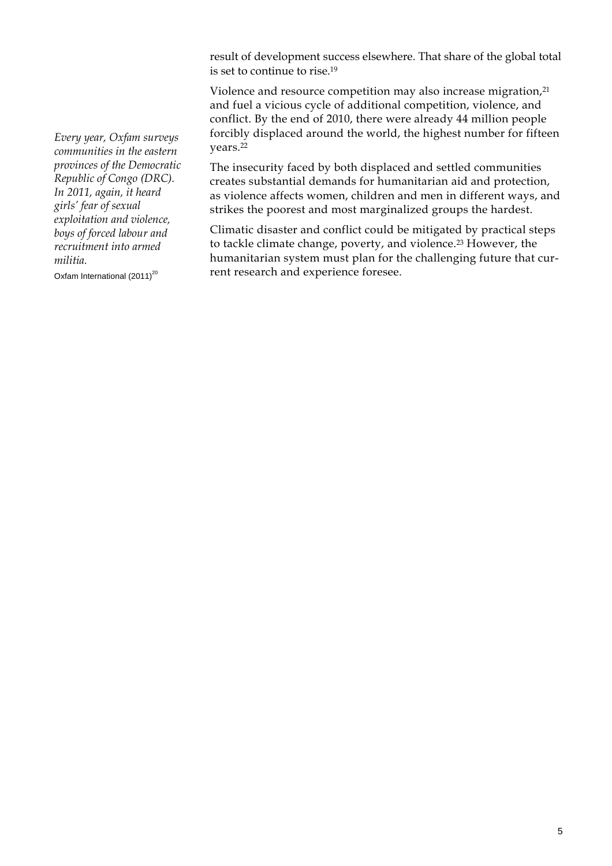result of development success elsewhere. That share of the global total is set to continue to rise.19

Violence and resource competition may also increase migration,<sup>21</sup> and fuel a vicious cycle of additional competition, violence, and conflict. By the end of 2010, there were already 44 million people forcibly displaced around the world, the highest number for fifteen years.22

The insecurity faced by both displaced and settled communities creates substantial demands for humanitarian aid and protection, as violence affects women, children and men in different ways, and strikes the poorest and most marginalized groups the hardest.

Climatic disaster and conflict could be mitigated by practical steps to tackle climate change, poverty, and violence.23 However, the humanitarian system must plan for the challenging future that current research and experience foresee.

*Every year, Oxfam surveys communities in the eastern provinces of the Democratic Republic of Congo (DRC). In 2011, again, it heard girls' fear of sexual exploitation and violence, boys of forced labour and recruitment into armed militia.* 

Oxfam International  $(2011)^{20}$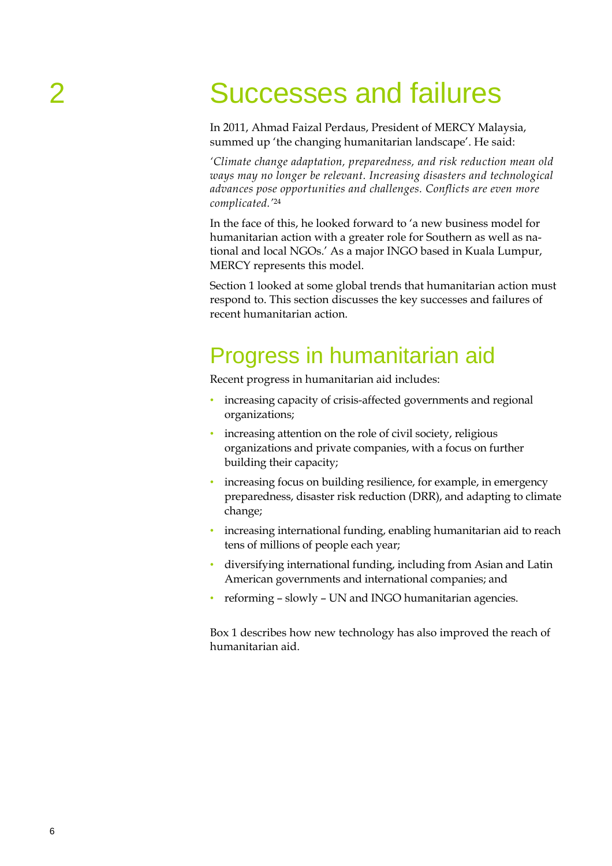# 2 Successes and failures

In 2011, Ahmad Faizal Perdaus, President of MERCY Malaysia, summed up 'the changing humanitarian landscape'. He said:

*'Climate change adaptation, preparedness, and risk reduction mean old ways may no longer be relevant. Increasing disasters and technological advances pose opportunities and challenges. Conflicts are even more complicated.'*<sup>24</sup>

In the face of this, he looked forward to 'a new business model for humanitarian action with a greater role for Southern as well as national and local NGOs.' As a major INGO based in Kuala Lumpur, MERCY represents this model.

Section 1 looked at some global trends that humanitarian action must respond to. This section discusses the key successes and failures of recent humanitarian action.

### Progress in humanitarian aid

Recent progress in humanitarian aid includes:

- increasing capacity of crisis-affected governments and regional organizations;
- increasing attention on the role of civil society, religious organizations and private companies, with a focus on further building their capacity;
- increasing focus on building resilience, for example, in emergency preparedness, disaster risk reduction (DRR), and adapting to climate change;
- increasing international funding, enabling humanitarian aid to reach tens of millions of people each year;
- diversifying international funding, including from Asian and Latin American governments and international companies; and
- reforming slowly UN and INGO humanitarian agencies.

Box 1 describes how new technology has also improved the reach of humanitarian aid.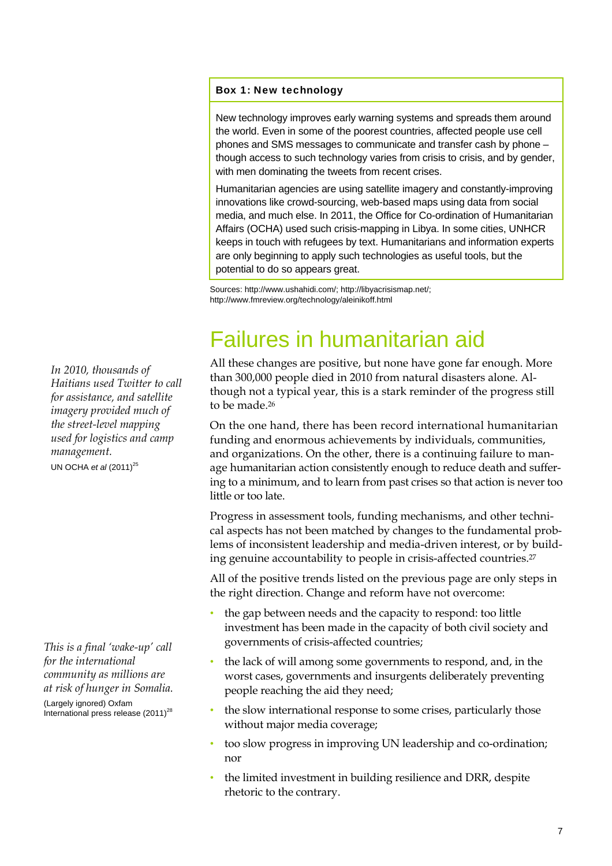#### Box 1: New technology

New technology improves early warning systems and spreads them around the world. Even in some of the poorest countries, affected people use cell phones and SMS messages to communicate and transfer cash by phone – though access to such technology varies from crisis to crisis, and by gender, with men dominating the tweets from recent crises.

Humanitarian agencies are using satellite imagery and constantly-improving innovations like crowd-sourcing, web-based maps using data from social media, and much else. In 2011, the Office for Co-ordination of Humanitarian Affairs (OCHA) used such crisis-mapping in Libya. In some cities, UNHCR keeps in touch with refugees by text. Humanitarians and information experts are only beginning to apply such technologies as useful tools, but the potential to do so appears great.

Sources: http://www.ushahidi.com/; http://libyacrisismap.net/; http://www.fmreview.org/technology/aleinikoff.html

## Failures in humanitarian aid

All these changes are positive, but none have gone far enough. More than 300,000 people died in 2010 from natural disasters alone. Although not a typical year, this is a stark reminder of the progress still to be made.26

On the one hand, there has been record international humanitarian funding and enormous achievements by individuals, communities, and organizations. On the other, there is a continuing failure to manage humanitarian action consistently enough to reduce death and suffering to a minimum, and to learn from past crises so that action is never too little or too late.

Progress in assessment tools, funding mechanisms, and other technical aspects has not been matched by changes to the fundamental problems of inconsistent leadership and media-driven interest, or by building genuine accountability to people in crisis-affected countries.27

All of the positive trends listed on the previous page are only steps in the right direction. Change and reform have not overcome:

- the gap between needs and the capacity to respond: too little investment has been made in the capacity of both civil society and governments of crisis-affected countries;
- the lack of will among some governments to respond, and, in the worst cases, governments and insurgents deliberately preventing people reaching the aid they need;
- the slow international response to some crises, particularly those without major media coverage;
- too slow progress in improving UN leadership and co-ordination; nor
- the limited investment in building resilience and DRR, despite rhetoric to the contrary.

*In 2010, thousands of Haitians used Twitter to call for assistance, and satellite imagery provided much of the street-level mapping used for logistics and camp management.* 

UN OCHA *et al* (2011)<sup>25</sup>

*This is a final 'wake-up' call for the international community as millions are at risk of hunger in Somalia.*

(Largely ignored) Oxfam International press release  $(2011)^{28}$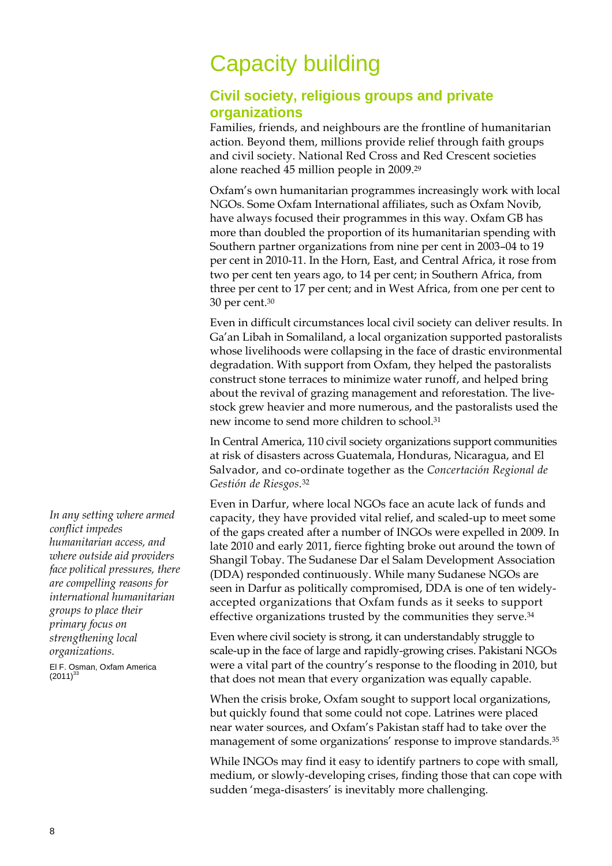### Capacity building

### **Civil society, religious groups and private organizations**

Families, friends, and neighbours are the frontline of humanitarian action. Beyond them, millions provide relief through faith groups and civil society. National Red Cross and Red Crescent societies alone reached 45 million people in 2009.29

Oxfam's own humanitarian programmes increasingly work with local NGOs. Some Oxfam International affiliates, such as Oxfam Novib, have always focused their programmes in this way. Oxfam GB has more than doubled the proportion of its humanitarian spending with Southern partner organizations from nine per cent in 2003–04 to 19 per cent in 2010-11. In the Horn, East, and Central Africa, it rose from two per cent ten years ago, to 14 per cent; in Southern Africa, from three per cent to 17 per cent; and in West Africa, from one per cent to 30 per cent.30

Even in difficult circumstances local civil society can deliver results. In Ga'an Libah in Somaliland, a local organization supported pastoralists whose livelihoods were collapsing in the face of drastic environmental degradation. With support from Oxfam, they helped the pastoralists construct stone terraces to minimize water runoff, and helped bring about the revival of grazing management and reforestation. The livestock grew heavier and more numerous, and the pastoralists used the new income to send more children to school.31

In Central America, 110 civil society organizations support communities at risk of disasters across Guatemala, Honduras, Nicaragua, and El Salvador, and co-ordinate together as the *Concertación Regional de Gestión de Riesgos*.32

Even in Darfur, where local NGOs face an acute lack of funds and capacity, they have provided vital relief, and scaled-up to meet some of the gaps created after a number of INGOs were expelled in 2009. In late 2010 and early 2011, fierce fighting broke out around the town of Shangil Tobay. The Sudanese Dar el Salam Development Association (DDA) responded continuously. While many Sudanese NGOs are seen in Darfur as politically compromised, DDA is one of ten widelyaccepted organizations that Oxfam funds as it seeks to support effective organizations trusted by the communities they serve.<sup>34</sup>

Even where civil society is strong, it can understandably struggle to scale-up in the face of large and rapidly-growing crises. Pakistani NGOs were a vital part of the country's response to the flooding in 2010, but that does not mean that every organization was equally capable.

When the crisis broke, Oxfam sought to support local organizations, but quickly found that some could not cope. Latrines were placed near water sources, and Oxfam's Pakistan staff had to take over the management of some organizations' response to improve standards.35

While INGOs may find it easy to identify partners to cope with small, medium, or slowly-developing crises, finding those that can cope with sudden 'mega-disasters' is inevitably more challenging.

*In any setting where armed conflict impedes humanitarian access, and where outside aid providers face political pressures, there are compelling reasons for international humanitarian groups to place their primary focus on strengthening local organizations.* 

El F. Osman, Oxfam America  $(2011)^{33}$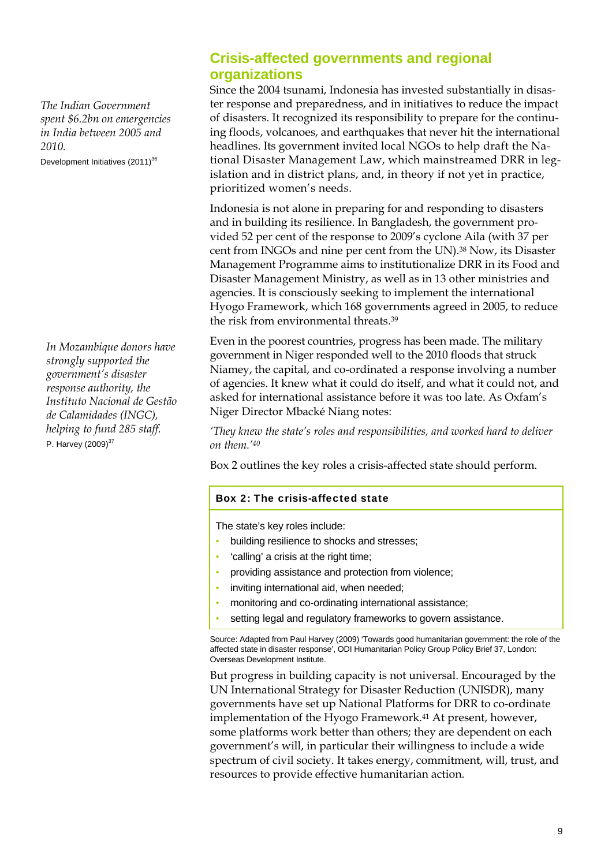*The Indian Government spent \$6.2bn on emergencies in India between 2005 and 2010.*  Development Initiatives  $(2011)^{36}$ 

*In Mozambique donors have strongly supported the government's disaster response authority, the Instituto Nacional de Gestão de Calamidades (INGC), helping to fund 285 staff.*  P. Harvey  $(2009)^{37}$ 

### **Crisis-affected governments and regional organizations**

Since the 2004 tsunami, Indonesia has invested substantially in disaster response and preparedness, and in initiatives to reduce the impact of disasters. It recognized its responsibility to prepare for the continuing floods, volcanoes, and earthquakes that never hit the international headlines. Its government invited local NGOs to help draft the National Disaster Management Law, which mainstreamed DRR in legislation and in district plans, and, in theory if not yet in practice, prioritized women's needs.

Indonesia is not alone in preparing for and responding to disasters and in building its resilience. In Bangladesh, the government provided 52 per cent of the response to 2009's cyclone Aila (with 37 per cent from INGOs and nine per cent from the UN).38 Now, its Disaster Management Programme aims to institutionalize DRR in its Food and Disaster Management Ministry, as well as in 13 other ministries and agencies. It is consciously seeking to implement the international Hyogo Framework, which 168 governments agreed in 2005, to reduce the risk from environmental threats.39

Even in the poorest countries, progress has been made. The military government in Niger responded well to the 2010 floods that struck Niamey, the capital, and co-ordinated a response involving a number of agencies. It knew what it could do itself, and what it could not, and asked for international assistance before it was too late. As Oxfam's Niger Director Mbacké Niang notes:

*'They knew the state's roles and responsibilities, and worked hard to deliver on them.'40*

Box 2 outlines the key roles a crisis-affected state should perform.

#### Box 2: The crisis-affected state

The state's key roles include:

- building resilience to shocks and stresses;
- 'calling' a crisis at the right time;
- providing assistance and protection from violence;
- inviting international aid, when needed;
- monitoring and co-ordinating international assistance;
- setting legal and regulatory frameworks to govern assistance.

Source: Adapted from Paul Harvey (2009) 'Towards good humanitarian government: the role of the affected state in disaster response', ODI Humanitarian Policy Group Policy Brief 37, London: Overseas Development Institute.

But progress in building capacity is not universal. Encouraged by the UN International Strategy for Disaster Reduction (UNISDR), many governments have set up National Platforms for DRR to co-ordinate implementation of the Hyogo Framework.<sup>41</sup> At present, however, some platforms work better than others; they are dependent on each government's will, in particular their willingness to include a wide spectrum of civil society. It takes energy, commitment, will, trust, and resources to provide effective humanitarian action.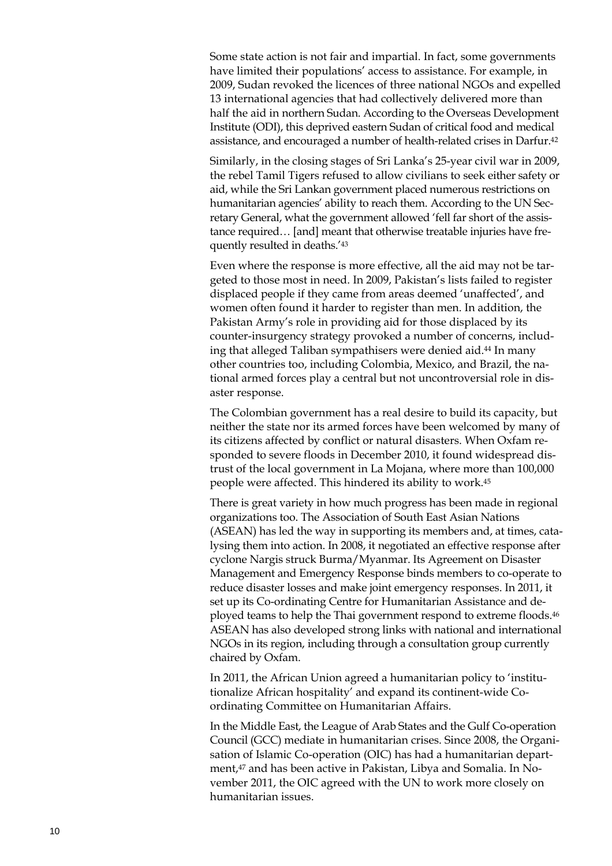Some state action is not fair and impartial. In fact, some governments have limited their populations' access to assistance. For example, in 2009, Sudan revoked the licences of three national NGOs and expelled 13 international agencies that had collectively delivered more than half the aid in northern Sudan. According to the Overseas Development Institute (ODI), this deprived eastern Sudan of critical food and medical assistance, and encouraged a number of health-related crises in Darfur.42

Similarly, in the closing stages of Sri Lanka's 25-year civil war in 2009, the rebel Tamil Tigers refused to allow civilians to seek either safety or aid, while the Sri Lankan government placed numerous restrictions on humanitarian agencies' ability to reach them. According to the UN Secretary General, what the government allowed 'fell far short of the assistance required… [and] meant that otherwise treatable injuries have frequently resulted in deaths.'43

Even where the response is more effective, all the aid may not be targeted to those most in need. In 2009, Pakistan's lists failed to register displaced people if they came from areas deemed 'unaffected', and women often found it harder to register than men. In addition, the Pakistan Army's role in providing aid for those displaced by its counter-insurgency strategy provoked a number of concerns, including that alleged Taliban sympathisers were denied aid.44 In many other countries too, including Colombia, Mexico, and Brazil, the national armed forces play a central but not uncontroversial role in disaster response.

The Colombian government has a real desire to build its capacity, but neither the state nor its armed forces have been welcomed by many of its citizens affected by conflict or natural disasters. When Oxfam responded to severe floods in December 2010, it found widespread distrust of the local government in La Mojana, where more than 100,000 people were affected. This hindered its ability to work.45

There is great variety in how much progress has been made in regional organizations too. The Association of South East Asian Nations (ASEAN) has led the way in supporting its members and, at times, catalysing them into action. In 2008, it negotiated an effective response after cyclone Nargis struck Burma/Myanmar. Its Agreement on Disaster Management and Emergency Response binds members to co-operate to reduce disaster losses and make joint emergency responses. In 2011, it set up its Co-ordinating Centre for Humanitarian Assistance and deployed teams to help the Thai government respond to extreme floods.46 ASEAN has also developed strong links with national and international NGOs in its region, including through a consultation group currently chaired by Oxfam.

In 2011, the African Union agreed a humanitarian policy to 'institutionalize African hospitality' and expand its continent-wide Coordinating Committee on Humanitarian Affairs.

In the Middle East, the League of Arab States and the Gulf Co-operation Council (GCC) mediate in humanitarian crises. Since 2008, the Organisation of Islamic Co-operation (OIC) has had a humanitarian department,47 and has been active in Pakistan, Libya and Somalia. In November 2011, the OIC agreed with the UN to work more closely on humanitarian issues.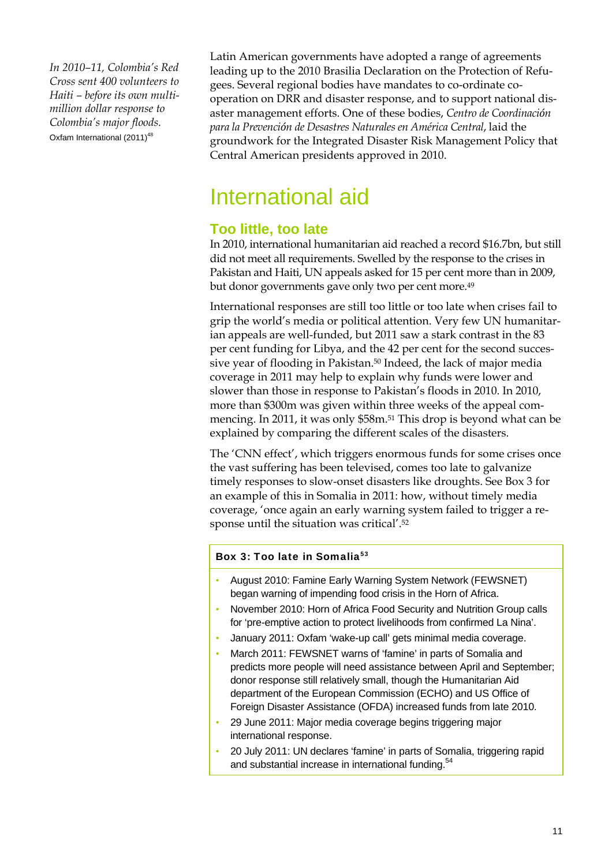*In 2010–11, Colombia's Red Cross sent 400 volunteers to Haiti – before its own multimillion dollar response to Colombia's major floods.*  Oxfam International (2011)<sup>48</sup>

Latin American governments have adopted a range of agreements leading up to the 2010 Brasilia Declaration on the Protection of Refugees. Several regional bodies have mandates to co-ordinate cooperation on DRR and disaster response, and to support national disaster management efforts. One of these bodies, *Centro de Coordinación para la Prevención de Desastres Naturales en América Central*, laid the groundwork for the Integrated Disaster Risk Management Policy that Central American presidents approved in 2010.

### International aid

### **Too little, too late**

In 2010, international humanitarian aid reached a record \$16.7bn, but still did not meet all requirements. Swelled by the response to the crises in Pakistan and Haiti, UN appeals asked for 15 per cent more than in 2009, but donor governments gave only two per cent more.<sup>49</sup>

International responses are still too little or too late when crises fail to grip the world's media or political attention. Very few UN humanitarian appeals are well-funded, but 2011 saw a stark contrast in the 83 per cent funding for Libya, and the 42 per cent for the second successive year of flooding in Pakistan.50 Indeed, the lack of major media coverage in 2011 may help to explain why funds were lower and slower than those in response to Pakistan's floods in 2010. In 2010, more than \$300m was given within three weeks of the appeal commencing. In 2011, it was only \$58m.51 This drop is beyond what can be explained by comparing the different scales of the disasters.

The 'CNN effect', which triggers enormous funds for some crises once the vast suffering has been televised, comes too late to galvanize timely responses to slow-onset disasters like droughts. See Box 3 for an example of this in Somalia in 2011: how, without timely media coverage, 'once again an early warning system failed to trigger a response until the situation was critical'.52

#### Box 3: Too late in Somalia<sup>53</sup>

- August 2010: Famine Early Warning System Network (FEWSNET) began warning of impending food crisis in the Horn of Africa.
- November 2010: Horn of Africa Food Security and Nutrition Group calls for 'pre-emptive action to protect livelihoods from confirmed La Nina'.
- January 2011: Oxfam 'wake-up call' gets minimal media coverage.
- March 2011: FEWSNET warns of 'famine' in parts of Somalia and predicts more people will need assistance between April and September; donor response still relatively small, though the Humanitarian Aid department of the European Commission (ECHO) and US Office of Foreign Disaster Assistance (OFDA) increased funds from late 2010.
- 29 June 2011: Major media coverage begins triggering major international response.
- 20 July 2011: UN declares 'famine' in parts of Somalia, triggering rapid and substantial increase in international funding.<sup>54</sup>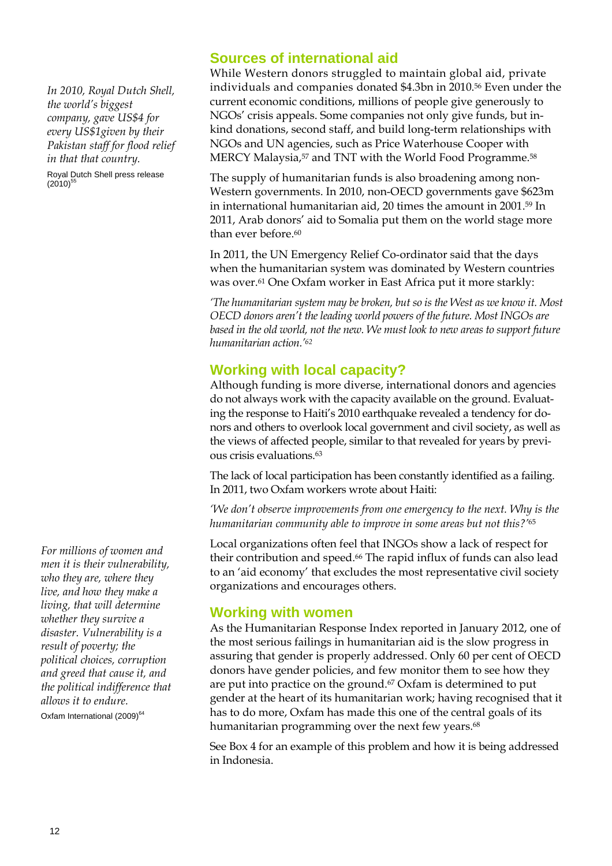*In 2010, Royal Dutch Shell, the world's biggest company, gave US\$4 for every US\$1given by their Pakistan staff for flood relief in that that country.* 

Royal Dutch Shell press release  $(2010)^{55}$ 

*For millions of women and men it is their vulnerability, who they are, where they live, and how they make a living, that will determine whether they survive a disaster. Vulnerability is a result of poverty; the political choices, corruption and greed that cause it, and the political indifference that allows it to endure.* 

Oxfam International (2009)<sup>64</sup>

### **Sources of international aid**

While Western donors struggled to maintain global aid, private individuals and companies donated \$4.3bn in 2010.56 Even under the current economic conditions, millions of people give generously to NGOs' crisis appeals. Some companies not only give funds, but inkind donations, second staff, and build long-term relationships with NGOs and UN agencies, such as Price Waterhouse Cooper with MERCY Malaysia,<sup>57</sup> and TNT with the World Food Programme.<sup>58</sup>

The supply of humanitarian funds is also broadening among non-Western governments. In 2010, non-OECD governments gave \$623m in international humanitarian aid, 20 times the amount in 2001.59 In 2011, Arab donors' aid to Somalia put them on the world stage more than ever before.<sup>60</sup>

In 2011, the UN Emergency Relief Co-ordinator said that the days when the humanitarian system was dominated by Western countries was over.<sup>61</sup> One Oxfam worker in East Africa put it more starkly:

*'The humanitarian system may be broken, but so is the West as we know it. Most OECD donors aren't the leading world powers of the future. Most INGOs are*  based in the old world, not the new. We must look to new areas to support future *humanitarian action.'62*

### **Working with local capacity?**

Although funding is more diverse, international donors and agencies do not always work with the capacity available on the ground. Evaluating the response to Haiti's 2010 earthquake revealed a tendency for donors and others to overlook local government and civil society, as well as the views of affected people, similar to that revealed for years by previous crisis evaluations.63

The lack of local participation has been constantly identified as a failing. In 2011, two Oxfam workers wrote about Haiti:

*'We don't observe improvements from one emergency to the next. Why is the humanitarian community able to improve in some areas but not this?'*<sup>65</sup>

Local organizations often feel that INGOs show a lack of respect for their contribution and speed.66 The rapid influx of funds can also lead to an 'aid economy' that excludes the most representative civil society organizations and encourages others.

### **Working with women**

As the Humanitarian Response Index reported in January 2012, one of the most serious failings in humanitarian aid is the slow progress in assuring that gender is properly addressed. Only 60 per cent of OECD donors have gender policies, and few monitor them to see how they are put into practice on the ground.<sup>67</sup> Oxfam is determined to put gender at the heart of its humanitarian work; having recognised that it has to do more, Oxfam has made this one of the central goals of its humanitarian programming over the next few years.<sup>68</sup>

See Box 4 for an example of this problem and how it is being addressed in Indonesia.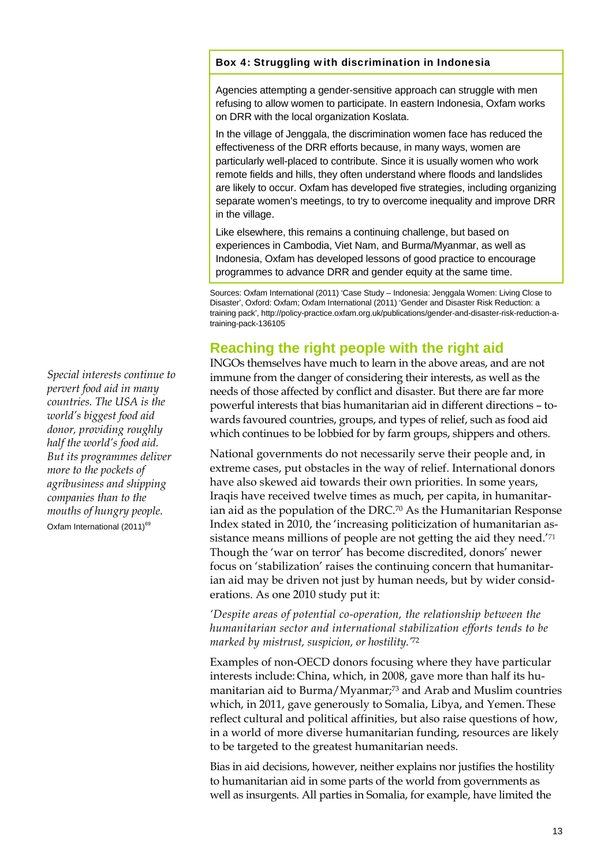#### Box 4: Struggling with discrimination in Indonesia

Agencies attempting a gender-sensitive approach can struggle with men refusing to allow women to participate. In eastern Indonesia, Oxfam works on DRR with the local organization Koslata.

In the village of Jenggala, the discrimination women face has reduced the effectiveness of the DRR efforts because, in many ways, women are particularly well-placed to contribute. Since it is usually women who work remote fields and hills, they often understand where floods and landslides are likely to occur. Oxfam has developed five strategies, including organizing separate women's meetings, to try to overcome inequality and improve DRR in the village.

Like elsewhere, this remains a continuing challenge, but based on experiences in Cambodia, Viet Nam, and Burma/Myanmar, as well as Indonesia, Oxfam has developed lessons of good practice to encourage programmes to advance DRR and gender equity at the same time.

Sources: Oxfam International (2011) 'Case Study – Indonesia: Jenggala Women: Living Close to Disaster', Oxford: Oxfam; Oxfam International (2011) 'Gender and Disaster Risk Reduction: a training pack', http://policy-practice.oxfam.org.uk/publications/gender-and-disaster-risk-reduction-atraining-pack-136105

### **Reaching the right people with the right aid**

INGOs themselves have much to learn in the above areas, and are not immune from the danger of considering their interests, as well as the needs of those affected by conflict and disaster. But there are far more powerful interests that bias humanitarian aid in different directions – towards favoured countries, groups, and types of relief, such as food aid which continues to be lobbied for by farm groups, shippers and others.

National governments do not necessarily serve their people and, in extreme cases, put obstacles in the way of relief. International donors have also skewed aid towards their own priorities. In some years, Iraqis have received twelve times as much, per capita, in humanitarian aid as the population of the DRC.70 As the Humanitarian Response Index stated in 2010, the 'increasing politicization of humanitarian assistance means millions of people are not getting the aid they need.'71 Though the 'war on terror' has become discredited, donors' newer focus on 'stabilization' raises the continuing concern that humanitarian aid may be driven not just by human needs, but by wider considerations. As one 2010 study put it:

*'Despite areas of potential co-operation, the relationship between the humanitarian sector and international stabilization efforts tends to be marked by mistrust, suspicion, or hostility.'*<sup>72</sup>

Examples of non-OECD donors focusing where they have particular interests include: China, which, in 2008, gave more than half its humanitarian aid to Burma/Myanmar;73 and Arab and Muslim countries which, in 2011, gave generously to Somalia, Libya, and Yemen. These reflect cultural and political affinities, but also raise questions of how, in a world of more diverse humanitarian funding, resources are likely to be targeted to the greatest humanitarian needs.

Bias in aid decisions, however, neither explains nor justifies the hostility to humanitarian aid in some parts of the world from governments as well as insurgents. All parties in Somalia, for example, have limited the

*Special interests continue to pervert food aid in many countries. The USA is the world's biggest food aid donor, providing roughly half the world's food aid. But its programmes deliver more to the pockets of agribusiness and shipping companies than to the mouths of hungry people.*  Oxfam International (2011)<sup>69</sup>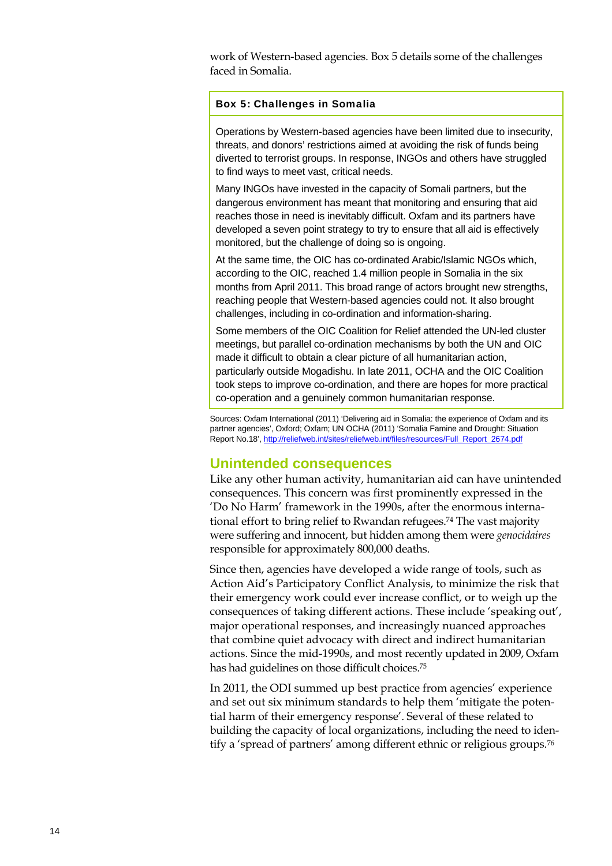work of Western-based agencies. Box 5 details some of the challenges faced in Somalia.

#### Box 5: Challenges in Somalia

Operations by Western-based agencies have been limited due to insecurity, threats, and donors' restrictions aimed at avoiding the risk of funds being diverted to terrorist groups. In response, INGOs and others have struggled to find ways to meet vast, critical needs.

Many INGOs have invested in the capacity of Somali partners, but the dangerous environment has meant that monitoring and ensuring that aid reaches those in need is inevitably difficult. Oxfam and its partners have developed a seven point strategy to try to ensure that all aid is effectively monitored, but the challenge of doing so is ongoing.

At the same time, the OIC has co-ordinated Arabic/Islamic NGOs which, according to the OIC, reached 1.4 million people in Somalia in the six months from April 2011. This broad range of actors brought new strengths, reaching people that Western-based agencies could not. It also brought challenges, including in co-ordination and information-sharing.

Some members of the OIC Coalition for Relief attended the UN-led cluster meetings, but parallel co-ordination mechanisms by both the UN and OIC made it difficult to obtain a clear picture of all humanitarian action, particularly outside Mogadishu. In late 2011, OCHA and the OIC Coalition took steps to improve co-ordination, and there are hopes for more practical co-operation and a genuinely common humanitarian response.

Sources: Oxfam International (2011) 'Delivering aid in Somalia: the experience of Oxfam and its partner agencies', Oxford; Oxfam; UN OCHA (2011) 'Somalia Famine and Drought: Situation Report No.18', http://reliefweb.int/sites/reliefweb.int/files/resources/Full\_Report\_2674.pdf

### **Unintended consequences**

Like any other human activity, humanitarian aid can have unintended consequences. This concern was first prominently expressed in the 'Do No Harm' framework in the 1990s, after the enormous international effort to bring relief to Rwandan refugees.<sup>74</sup> The vast majority were suffering and innocent, but hidden among them were *genocidaires* responsible for approximately 800,000 deaths.

Since then, agencies have developed a wide range of tools, such as Action Aid's Participatory Conflict Analysis, to minimize the risk that their emergency work could ever increase conflict, or to weigh up the consequences of taking different actions. These include 'speaking out', major operational responses, and increasingly nuanced approaches that combine quiet advocacy with direct and indirect humanitarian actions. Since the mid-1990s, and most recently updated in 2009, Oxfam has had guidelines on those difficult choices.75

In 2011, the ODI summed up best practice from agencies' experience and set out six minimum standards to help them 'mitigate the potential harm of their emergency response'. Several of these related to building the capacity of local organizations, including the need to identify a 'spread of partners' among different ethnic or religious groups.76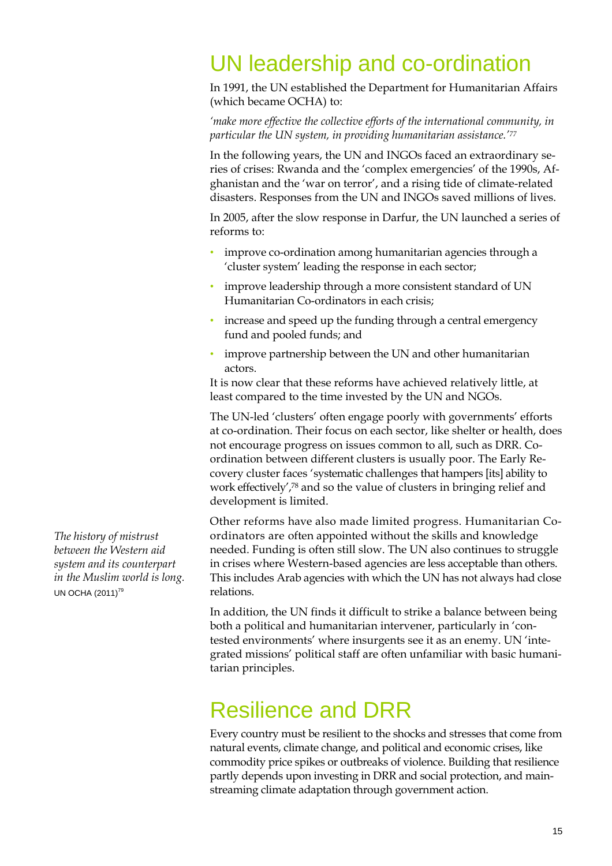### UN leadership and co-ordination

In 1991, the UN established the Department for Humanitarian Affairs (which became OCHA) to:

*'make more effective the collective efforts of the international community, in particular the UN system, in providing humanitarian assistance.'77* 

In the following years, the UN and INGOs faced an extraordinary series of crises: Rwanda and the 'complex emergencies' of the 1990s, Afghanistan and the 'war on terror', and a rising tide of climate-related disasters. Responses from the UN and INGOs saved millions of lives.

In 2005, after the slow response in Darfur, the UN launched a series of reforms to:

- improve co-ordination among humanitarian agencies through a 'cluster system' leading the response in each sector;
- improve leadership through a more consistent standard of UN Humanitarian Co-ordinators in each crisis;
- increase and speed up the funding through a central emergency fund and pooled funds; and
- improve partnership between the UN and other humanitarian actors.

It is now clear that these reforms have achieved relatively little, at least compared to the time invested by the UN and NGOs.

The UN-led 'clusters' often engage poorly with governments' efforts at co-ordination. Their focus on each sector, like shelter or health, does not encourage progress on issues common to all, such as DRR. Coordination between different clusters is usually poor. The Early Recovery cluster faces 'systematic challenges that hampers [its] ability to work effectively',78 and so the value of clusters in bringing relief and development is limited.

Other reforms have also made limited progress. Humanitarian Coordinators are often appointed without the skills and knowledge needed. Funding is often still slow. The UN also continues to struggle in crises where Western-based agencies are less acceptable than others. This includes Arab agencies with which the UN has not always had close relations.

In addition, the UN finds it difficult to strike a balance between being both a political and humanitarian intervener, particularly in 'contested environments' where insurgents see it as an enemy. UN 'integrated missions' political staff are often unfamiliar with basic humanitarian principles.

### Resilience and DRR

Every country must be resilient to the shocks and stresses that come from natural events, climate change, and political and economic crises, like commodity price spikes or outbreaks of violence. Building that resilience partly depends upon investing in DRR and social protection, and mainstreaming climate adaptation through government action.

*The history of mistrust between the Western aid system and its counterpart in the Muslim world is long.* UN OCHA (2011)<sup>79</sup>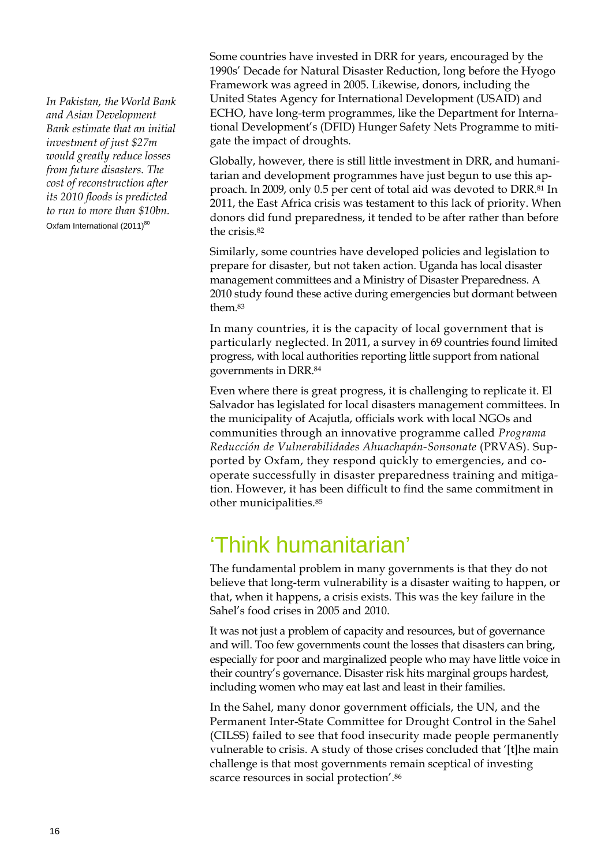*In Pakistan, the World Bank and Asian Development Bank estimate that an initial investment of just \$27m would greatly reduce losses from future disasters. The cost of reconstruction after its 2010 floods is predicted to run to more than \$10bn.*  Oxfam International  $(2011)^{80}$ 

Some countries have invested in DRR for years, encouraged by the 1990s' Decade for Natural Disaster Reduction, long before the Hyogo Framework was agreed in 2005. Likewise, donors, including the United States Agency for International Development (USAID) and ECHO, have long-term programmes, like the Department for International Development's (DFID) Hunger Safety Nets Programme to mitigate the impact of droughts.

Globally, however, there is still little investment in DRR, and humanitarian and development programmes have just begun to use this approach. In 2009, only 0.5 per cent of total aid was devoted to DRR.81 In 2011, the East Africa crisis was testament to this lack of priority. When donors did fund preparedness, it tended to be after rather than before the crisis.82

Similarly, some countries have developed policies and legislation to prepare for disaster, but not taken action. Uganda has local disaster management committees and a Ministry of Disaster Preparedness. A 2010 study found these active during emergencies but dormant between them.83

In many countries, it is the capacity of local government that is particularly neglected. In 2011, a survey in 69 countries found limited progress, with local authorities reporting little support from national governments in DRR.84

Even where there is great progress, it is challenging to replicate it. El Salvador has legislated for local disasters management committees. In the municipality of Acajutla, officials work with local NGOs and communities through an innovative programme called *Programa Reducción de Vulnerabilidades Ahuachapán-Sonsonate* (PRVAS). Supported by Oxfam, they respond quickly to emergencies, and cooperate successfully in disaster preparedness training and mitigation. However, it has been difficult to find the same commitment in other municipalities.85

### 'Think humanitarian'

The fundamental problem in many governments is that they do not believe that long-term vulnerability is a disaster waiting to happen, or that, when it happens, a crisis exists. This was the key failure in the Sahel's food crises in 2005 and 2010.

It was not just a problem of capacity and resources, but of governance and will. Too few governments count the losses that disasters can bring, especially for poor and marginalized people who may have little voice in their country's governance. Disaster risk hits marginal groups hardest, including women who may eat last and least in their families.

In the Sahel, many donor government officials, the UN, and the Permanent Inter-State Committee for Drought Control in the Sahel (CILSS) failed to see that food insecurity made people permanently vulnerable to crisis. A study of those crises concluded that '[t]he main challenge is that most governments remain sceptical of investing scarce resources in social protection'.86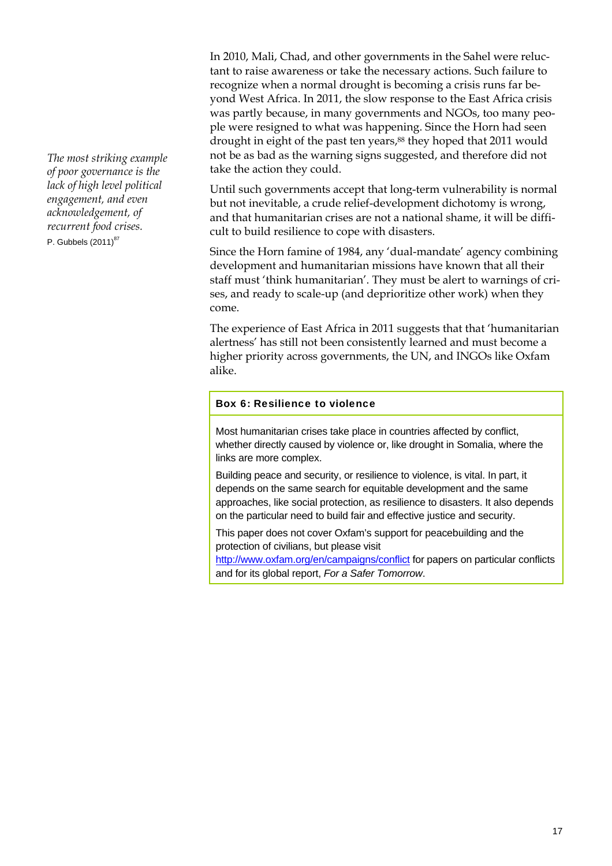*The most striking example of poor governance is the lack of high level political engagement, and even acknowledgement, of recurrent food crises.*  P. Gubbels  $(2011)^{87}$ 

In 2010, Mali, Chad, and other governments in the Sahel were reluctant to raise awareness or take the necessary actions. Such failure to recognize when a normal drought is becoming a crisis runs far beyond West Africa. In 2011, the slow response to the East Africa crisis was partly because, in many governments and NGOs, too many people were resigned to what was happening. Since the Horn had seen drought in eight of the past ten years,<sup>88</sup> they hoped that 2011 would not be as bad as the warning signs suggested, and therefore did not take the action they could.

Until such governments accept that long-term vulnerability is normal but not inevitable, a crude relief-development dichotomy is wrong, and that humanitarian crises are not a national shame, it will be difficult to build resilience to cope with disasters.

Since the Horn famine of 1984, any 'dual-mandate' agency combining development and humanitarian missions have known that all their staff must 'think humanitarian'. They must be alert to warnings of crises, and ready to scale-up (and deprioritize other work) when they come.

The experience of East Africa in 2011 suggests that that 'humanitarian alertness' has still not been consistently learned and must become a higher priority across governments, the UN, and INGOs like Oxfam alike.

#### Box 6: Resilience to violence

Most humanitarian crises take place in countries affected by conflict, whether directly caused by violence or, like drought in Somalia, where the links are more complex.

Building peace and security, or resilience to violence, is vital. In part, it depends on the same search for equitable development and the same approaches, like social protection, as resilience to disasters. It also depends on the particular need to build fair and effective justice and security.

This paper does not cover Oxfam's support for peacebuilding and the protection of civilians, but please visit

http://www.oxfam.org/en/campaigns/conflict for papers on particular conflicts and for its global report, *For a Safer Tomorrow*.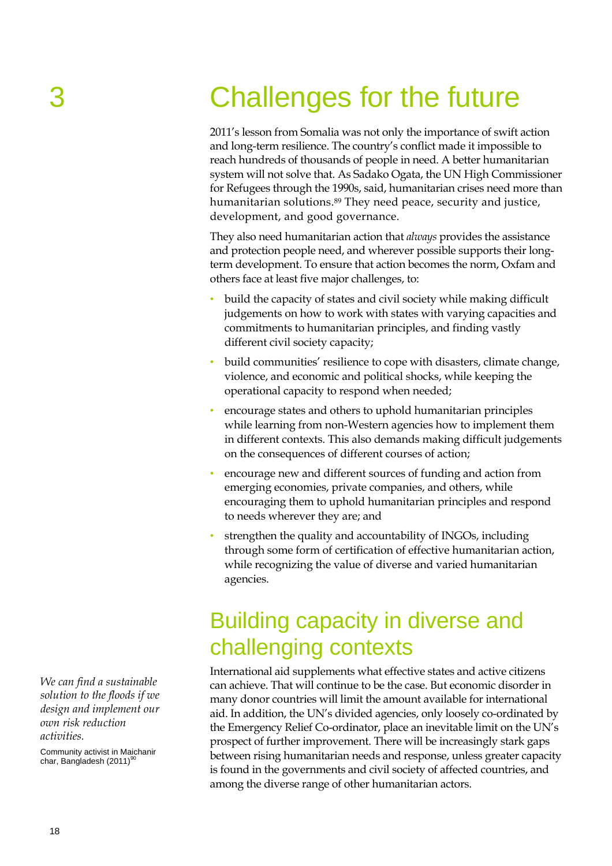## 3 Challenges for the future

2011's lesson from Somalia was not only the importance of swift action and long-term resilience. The country's conflict made it impossible to reach hundreds of thousands of people in need. A better humanitarian system will not solve that. As Sadako Ogata, the UN High Commissioner for Refugees through the 1990s, said, humanitarian crises need more than humanitarian solutions.<sup>89</sup> They need peace, security and justice, development, and good governance.

They also need humanitarian action that *always* provides the assistance and protection people need, and wherever possible supports their longterm development. To ensure that action becomes the norm, Oxfam and others face at least five major challenges, to:

- build the capacity of states and civil society while making difficult judgements on how to work with states with varying capacities and commitments to humanitarian principles, and finding vastly different civil society capacity;
- build communities' resilience to cope with disasters, climate change, violence, and economic and political shocks, while keeping the operational capacity to respond when needed;
- encourage states and others to uphold humanitarian principles while learning from non-Western agencies how to implement them in different contexts. This also demands making difficult judgements on the consequences of different courses of action;
- encourage new and different sources of funding and action from emerging economies, private companies, and others, while encouraging them to uphold humanitarian principles and respond to needs wherever they are; and
- strengthen the quality and accountability of INGOs, including through some form of certification of effective humanitarian action, while recognizing the value of diverse and varied humanitarian agencies.

### Building capacity in diverse and challenging contexts

International aid supplements what effective states and active citizens can achieve. That will continue to be the case. But economic disorder in many donor countries will limit the amount available for international aid. In addition, the UN's divided agencies, only loosely co-ordinated by the Emergency Relief Co-ordinator, place an inevitable limit on the UN's prospect of further improvement. There will be increasingly stark gaps between rising humanitarian needs and response, unless greater capacity is found in the governments and civil society of affected countries, and among the diverse range of other humanitarian actors.

*We can find a sustainable solution to the floods if we design and implement our own risk reduction activities.* 

Community activist in Maichanir char, Bangladesh  $(2011)^9$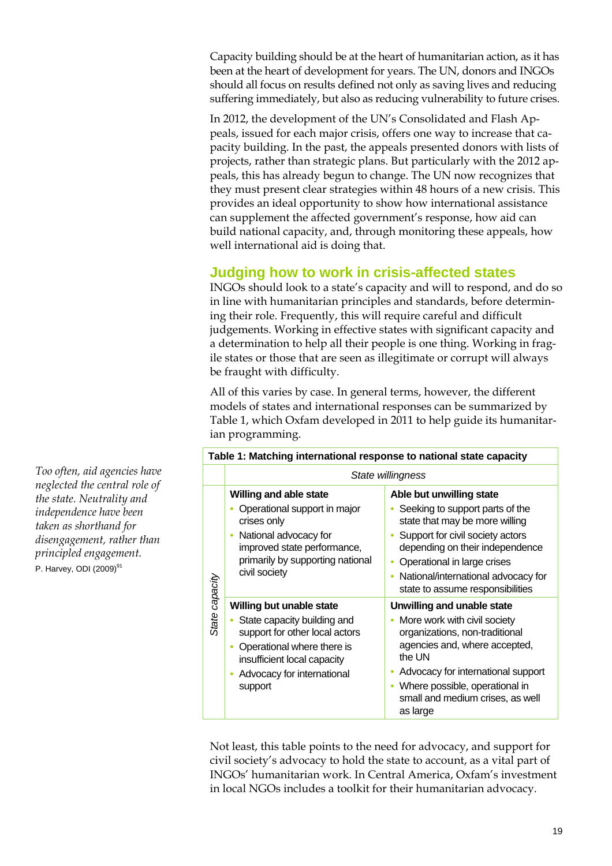Capacity building should be at the heart of humanitarian action, as it has been at the heart of development for years. The UN, donors and INGOs should all focus on results defined not only as saving lives and reducing suffering immediately, but also as reducing vulnerability to future crises.

In 2012, the development of the UN's Consolidated and Flash Appeals, issued for each major crisis, offers one way to increase that capacity building. In the past, the appeals presented donors with lists of projects, rather than strategic plans. But particularly with the 2012 appeals, this has already begun to change. The UN now recognizes that they must present clear strategies within 48 hours of a new crisis. This provides an ideal opportunity to show how international assistance can supplement the affected government's response, how aid can build national capacity, and, through monitoring these appeals, how well international aid is doing that.

### **Judging how to work in crisis-affected states**

INGOs should look to a state's capacity and will to respond, and do so in line with humanitarian principles and standards, before determining their role. Frequently, this will require careful and difficult judgements. Working in effective states with significant capacity and a determination to help all their people is one thing. Working in fragile states or those that are seen as illegitimate or corrupt will always be fraught with difficulty.

All of this varies by case. In general terms, however, the different models of states and international responses can be summarized by Table 1, which Oxfam developed in 2011 to help guide its humanitarian programming.

| Table 1: Matching international response to national state capacity |                                                                                                                                                                                                 |                                                                                                                                                                                                                                                                                |
|---------------------------------------------------------------------|-------------------------------------------------------------------------------------------------------------------------------------------------------------------------------------------------|--------------------------------------------------------------------------------------------------------------------------------------------------------------------------------------------------------------------------------------------------------------------------------|
|                                                                     | State willingness                                                                                                                                                                               |                                                                                                                                                                                                                                                                                |
| State capacity                                                      | <b>Willing and able state</b><br>Operational support in major<br>crises only<br>National advocacy for<br>improved state performance,<br>primarily by supporting national<br>civil society       | Able but unwilling state<br>Seeking to support parts of the<br>state that may be more willing<br>Support for civil society actors<br>depending on their independence<br>Operational in large crises<br>National/international advocacy for<br>state to assume responsibilities |
|                                                                     | Willing but unable state<br>State capacity building and<br>support for other local actors<br>Operational where there is<br>insufficient local capacity<br>Advocacy for international<br>support | Unwilling and unable state<br>More work with civil society<br>organizations, non-traditional<br>agencies and, where accepted,<br>the UN<br>Advocacy for international support<br>Where possible, operational in<br>small and medium crises, as well<br>as large                |

Not least, this table points to the need for advocacy, and support for civil society's advocacy to hold the state to account, as a vital part of INGOs' humanitarian work. In Central America, Oxfam's investment in local NGOs includes a toolkit for their humanitarian advocacy.

*Too often, aid agencies have neglected the central role of the state. Neutrality and independence have been taken as shorthand for disengagement, rather than principled engagement.*  P. Harvey, ODI  $(2009)^{91}$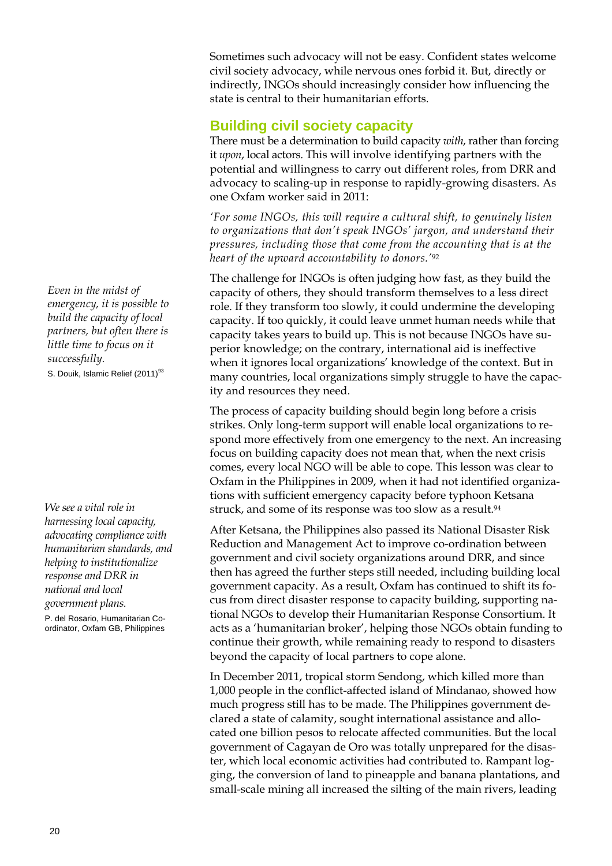Sometimes such advocacy will not be easy. Confident states welcome civil society advocacy, while nervous ones forbid it. But, directly or indirectly, INGOs should increasingly consider how influencing the state is central to their humanitarian efforts.

### **Building civil society capacity**

There must be a determination to build capacity *with*, rather than forcing it *upon*, local actors. This will involve identifying partners with the potential and willingness to carry out different roles, from DRR and advocacy to scaling-up in response to rapidly-growing disasters. As one Oxfam worker said in 2011:

*'For some INGOs, this will require a cultural shift, to genuinely listen to organizations that don't speak INGOs' jargon, and understand their pressures, including those that come from the accounting that is at the heart of the upward accountability to donors.'*92

The challenge for INGOs is often judging how fast, as they build the capacity of others, they should transform themselves to a less direct role. If they transform too slowly, it could undermine the developing capacity. If too quickly, it could leave unmet human needs while that capacity takes years to build up. This is not because INGOs have superior knowledge; on the contrary, international aid is ineffective when it ignores local organizations' knowledge of the context. But in many countries, local organizations simply struggle to have the capacity and resources they need.

The process of capacity building should begin long before a crisis strikes. Only long-term support will enable local organizations to respond more effectively from one emergency to the next. An increasing focus on building capacity does not mean that, when the next crisis comes, every local NGO will be able to cope. This lesson was clear to Oxfam in the Philippines in 2009, when it had not identified organizations with sufficient emergency capacity before typhoon Ketsana struck, and some of its response was too slow as a result.<sup>94</sup>

After Ketsana, the Philippines also passed its National Disaster Risk Reduction and Management Act to improve co-ordination between government and civil society organizations around DRR, and since then has agreed the further steps still needed, including building local government capacity. As a result, Oxfam has continued to shift its focus from direct disaster response to capacity building, supporting national NGOs to develop their Humanitarian Response Consortium. It acts as a 'humanitarian broker', helping those NGOs obtain funding to continue their growth, while remaining ready to respond to disasters beyond the capacity of local partners to cope alone.

In December 2011, tropical storm Sendong, which killed more than 1,000 people in the conflict-affected island of Mindanao, showed how much progress still has to be made. The Philippines government declared a state of calamity, sought international assistance and allocated one billion pesos to relocate affected communities. But the local government of Cagayan de Oro was totally unprepared for the disaster, which local economic activities had contributed to. Rampant logging, the conversion of land to pineapple and banana plantations, and small-scale mining all increased the silting of the main rivers, leading

*Even in the midst of emergency, it is possible to build the capacity of local partners, but often there is little time to focus on it successfully.*  S. Douik, Islamic Relief (2011)<sup>93</sup>

*We see a vital role in harnessing local capacity, advocating compliance with humanitarian standards, and helping to institutionalize response and DRR in national and local government plans.* 

P. del Rosario, Humanitarian Coordinator, Oxfam GB, Philippines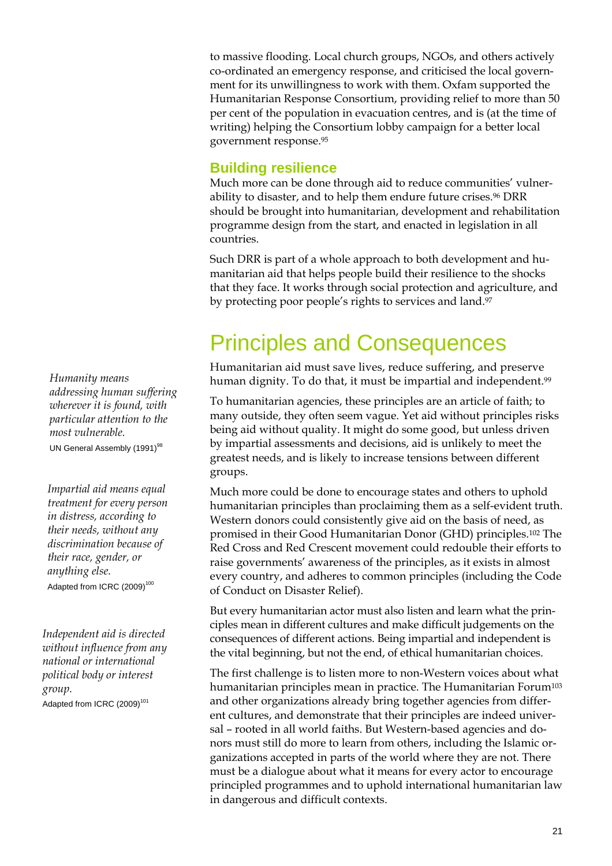to massive flooding. Local church groups, NGOs, and others actively co-ordinated an emergency response, and criticised the local government for its unwillingness to work with them. Oxfam supported the Humanitarian Response Consortium, providing relief to more than 50 per cent of the population in evacuation centres, and is (at the time of writing) helping the Consortium lobby campaign for a better local government response.95

### **Building resilience**

Much more can be done through aid to reduce communities' vulnerability to disaster, and to help them endure future crises.<sup>96</sup> DRR should be brought into humanitarian, development and rehabilitation programme design from the start, and enacted in legislation in all countries.

Such DRR is part of a whole approach to both development and humanitarian aid that helps people build their resilience to the shocks that they face. It works through social protection and agriculture, and by protecting poor people's rights to services and land.<sup>97</sup>

### Principles and Consequences

Humanitarian aid must save lives, reduce suffering, and preserve human dignity. To do that, it must be impartial and independent.<sup>99</sup>

To humanitarian agencies, these principles are an article of faith; to many outside, they often seem vague. Yet aid without principles risks being aid without quality. It might do some good, but unless driven by impartial assessments and decisions, aid is unlikely to meet the greatest needs, and is likely to increase tensions between different groups.

Much more could be done to encourage states and others to uphold humanitarian principles than proclaiming them as a self-evident truth. Western donors could consistently give aid on the basis of need, as promised in their Good Humanitarian Donor (GHD) principles.102 The Red Cross and Red Crescent movement could redouble their efforts to raise governments' awareness of the principles, as it exists in almost every country, and adheres to common principles (including the Code of Conduct on Disaster Relief).

But every humanitarian actor must also listen and learn what the principles mean in different cultures and make difficult judgements on the consequences of different actions. Being impartial and independent is the vital beginning, but not the end, of ethical humanitarian choices.

The first challenge is to listen more to non-Western voices about what humanitarian principles mean in practice. The Humanitarian Forum<sup>103</sup> and other organizations already bring together agencies from different cultures, and demonstrate that their principles are indeed universal – rooted in all world faiths. But Western-based agencies and donors must still do more to learn from others, including the Islamic organizations accepted in parts of the world where they are not. There must be a dialogue about what it means for every actor to encourage principled programmes and to uphold international humanitarian law in dangerous and difficult contexts.

*Humanity means addressing human suffering wherever it is found, with particular attention to the most vulnerable.*  UN General Assembly (1991)<sup>98</sup>

*Impartial aid means equal treatment for every person in distress, according to their needs, without any discrimination because of their race, gender, or anything else.*  Adapted from ICRC (2009)<sup>100</sup>

*Independent aid is directed without influence from any national or international political body or interest group.*  Adapted from ICRC (2009)<sup>101</sup>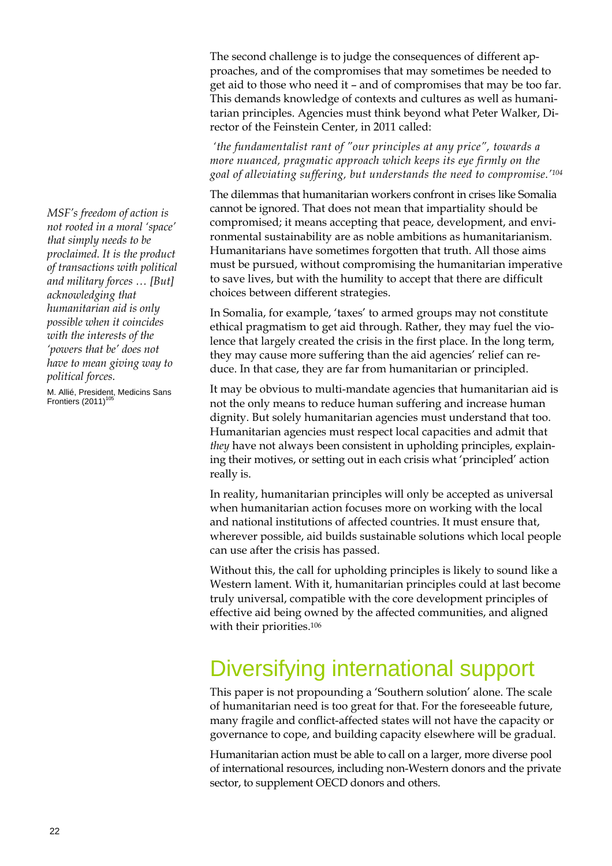The second challenge is to judge the consequences of different approaches, and of the compromises that may sometimes be needed to get aid to those who need it – and of compromises that may be too far. This demands knowledge of contexts and cultures as well as humanitarian principles. Agencies must think beyond what Peter Walker, Director of the Feinstein Center, in 2011 called:

 *'the fundamentalist rant of "our principles at any price", towards a more nuanced, pragmatic approach which keeps its eye firmly on the goal of alleviating suffering, but understands the need to compromise.'104* 

The dilemmas that humanitarian workers confront in crises like Somalia cannot be ignored. That does not mean that impartiality should be compromised; it means accepting that peace, development, and environmental sustainability are as noble ambitions as humanitarianism. Humanitarians have sometimes forgotten that truth. All those aims must be pursued, without compromising the humanitarian imperative to save lives, but with the humility to accept that there are difficult choices between different strategies.

In Somalia, for example, 'taxes' to armed groups may not constitute ethical pragmatism to get aid through. Rather, they may fuel the violence that largely created the crisis in the first place. In the long term, they may cause more suffering than the aid agencies' relief can reduce. In that case, they are far from humanitarian or principled.

It may be obvious to multi-mandate agencies that humanitarian aid is not the only means to reduce human suffering and increase human dignity. But solely humanitarian agencies must understand that too. Humanitarian agencies must respect local capacities and admit that *they* have not always been consistent in upholding principles, explaining their motives, or setting out in each crisis what 'principled' action really is.

In reality, humanitarian principles will only be accepted as universal when humanitarian action focuses more on working with the local and national institutions of affected countries. It must ensure that, wherever possible, aid builds sustainable solutions which local people can use after the crisis has passed.

Without this, the call for upholding principles is likely to sound like a Western lament. With it, humanitarian principles could at last become truly universal, compatible with the core development principles of effective aid being owned by the affected communities, and aligned with their priorities.106

### Diversifying international support

This paper is not propounding a 'Southern solution' alone. The scale of humanitarian need is too great for that. For the foreseeable future, many fragile and conflict-affected states will not have the capacity or governance to cope, and building capacity elsewhere will be gradual.

Humanitarian action must be able to call on a larger, more diverse pool of international resources, including non-Western donors and the private sector, to supplement OECD donors and others.

*MSF's freedom of action is not rooted in a moral 'space' that simply needs to be proclaimed. It is the product of transactions with political and military forces … [But] acknowledging that humanitarian aid is only possible when it coincides with the interests of the 'powers that be' does not have to mean giving way to political forces.*

M. Allié, President, Medicins Sans Frontiers  $(2011)^{105}$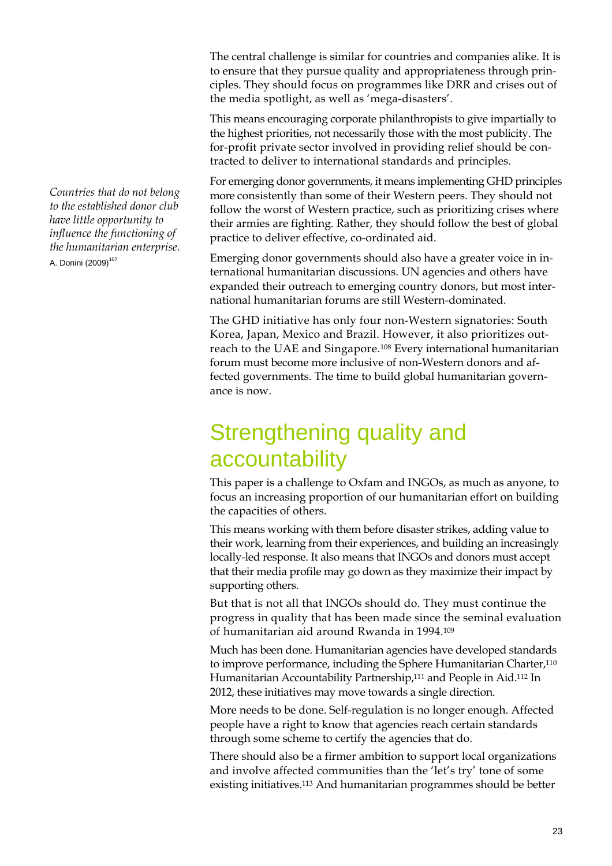*Countries that do not belong to the established donor club have little opportunity to influence the functioning of the humanitarian enterprise.* A. Donini (2009)<sup>107</sup>

The central challenge is similar for countries and companies alike. It is to ensure that they pursue quality and appropriateness through principles. They should focus on programmes like DRR and crises out of the media spotlight, as well as 'mega-disasters'.

This means encouraging corporate philanthropists to give impartially to the highest priorities, not necessarily those with the most publicity. The for-profit private sector involved in providing relief should be contracted to deliver to international standards and principles.

For emerging donor governments, it means implementing GHD principles more consistently than some of their Western peers. They should not follow the worst of Western practice, such as prioritizing crises where their armies are fighting. Rather, they should follow the best of global practice to deliver effective, co-ordinated aid.

Emerging donor governments should also have a greater voice in international humanitarian discussions. UN agencies and others have expanded their outreach to emerging country donors, but most international humanitarian forums are still Western-dominated.

The GHD initiative has only four non-Western signatories: South Korea, Japan, Mexico and Brazil. However, it also prioritizes outreach to the UAE and Singapore.108 Every international humanitarian forum must become more inclusive of non-Western donors and affected governments. The time to build global humanitarian governance is now.

### Strengthening quality and accountability

This paper is a challenge to Oxfam and INGOs, as much as anyone, to focus an increasing proportion of our humanitarian effort on building the capacities of others.

This means working with them before disaster strikes, adding value to their work, learning from their experiences, and building an increasingly locally-led response. It also means that INGOs and donors must accept that their media profile may go down as they maximize their impact by supporting others.

But that is not all that INGOs should do. They must continue the progress in quality that has been made since the seminal evaluation of humanitarian aid around Rwanda in 1994.109

Much has been done. Humanitarian agencies have developed standards to improve performance, including the Sphere Humanitarian Charter,<sup>110</sup> Humanitarian Accountability Partnership,111 and People in Aid.112 In 2012, these initiatives may move towards a single direction.

More needs to be done. Self-regulation is no longer enough. Affected people have a right to know that agencies reach certain standards through some scheme to certify the agencies that do.

There should also be a firmer ambition to support local organizations and involve affected communities than the 'let's try' tone of some existing initiatives.113 And humanitarian programmes should be better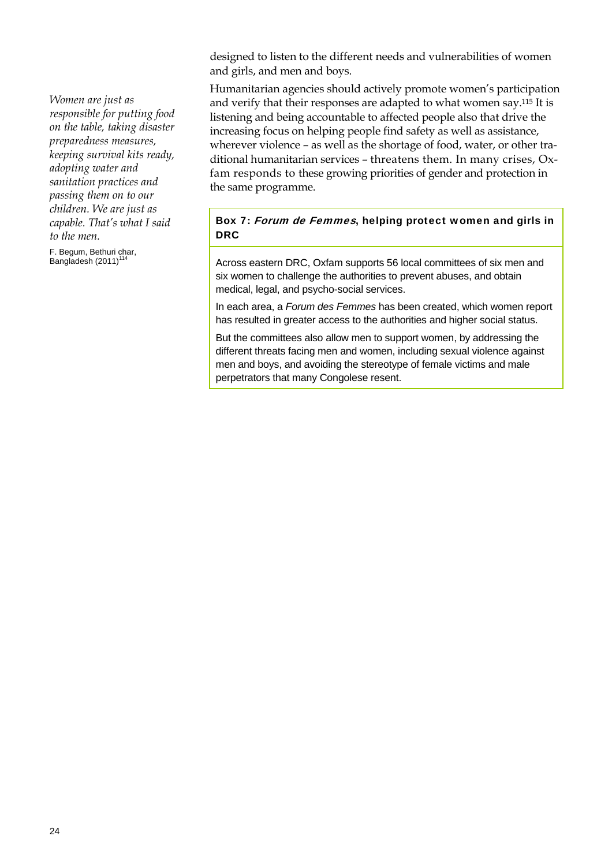designed to listen to the different needs and vulnerabilities of women and girls, and men and boys.

Humanitarian agencies should actively promote women's participation and verify that their responses are adapted to what women say.115 It is listening and being accountable to affected people also that drive the increasing focus on helping people find safety as well as assistance, wherever violence – as well as the shortage of food, water, or other traditional humanitarian services – threatens them. In many crises, Oxfam responds to these growing priorities of gender and protection in the same programme.

### Box 7: Forum de Femmes, helping protect women and girls in DRC

Across eastern DRC, Oxfam supports 56 local committees of six men and six women to challenge the authorities to prevent abuses, and obtain medical, legal, and psycho-social services.

In each area, a *Forum des Femmes* has been created, which women report has resulted in greater access to the authorities and higher social status.

But the committees also allow men to support women, by addressing the different threats facing men and women, including sexual violence against men and boys, and avoiding the stereotype of female victims and male perpetrators that many Congolese resent.

*Women are just as responsible for putting food on the table, taking disaster preparedness measures, keeping survival kits ready, adopting water and sanitation practices and passing them on to our children. We are just as capable. That's what I said to the men.* 

F. Begum, Bethuri char, Bangladesh  $(2011)^1$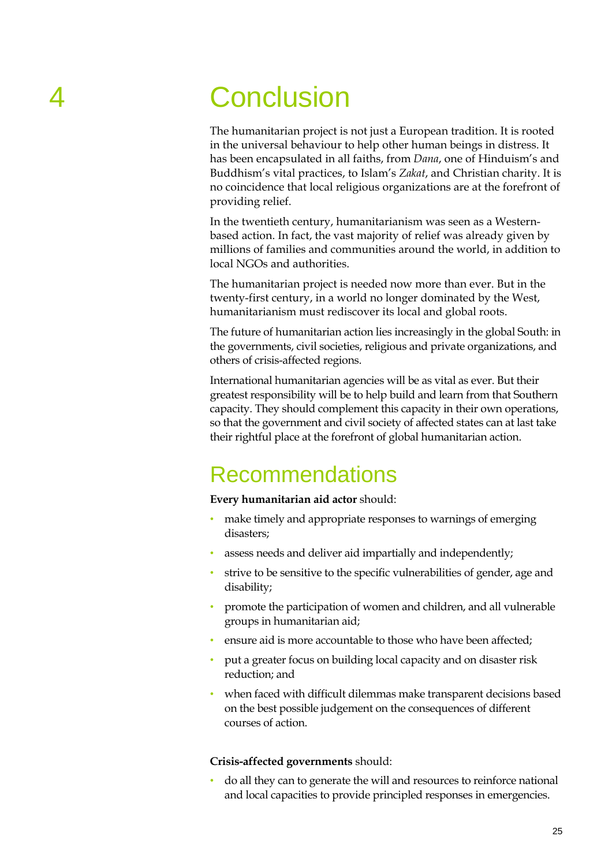## 4 Conclusion

The humanitarian project is not just a European tradition. It is rooted in the universal behaviour to help other human beings in distress. It has been encapsulated in all faiths, from *Dana*, one of Hinduism's and Buddhism's vital practices, to Islam's *Zakat*, and Christian charity. It is no coincidence that local religious organizations are at the forefront of providing relief.

In the twentieth century, humanitarianism was seen as a Westernbased action. In fact, the vast majority of relief was already given by millions of families and communities around the world, in addition to local NGOs and authorities.

The humanitarian project is needed now more than ever. But in the twenty-first century, in a world no longer dominated by the West, humanitarianism must rediscover its local and global roots.

The future of humanitarian action lies increasingly in the global South: in the governments, civil societies, religious and private organizations, and others of crisis-affected regions.

International humanitarian agencies will be as vital as ever. But their greatest responsibility will be to help build and learn from that Southern capacity. They should complement this capacity in their own operations, so that the government and civil society of affected states can at last take their rightful place at the forefront of global humanitarian action.

### Recommendations

#### **Every humanitarian aid actor** should:

- make timely and appropriate responses to warnings of emerging disasters;
- assess needs and deliver aid impartially and independently;
- strive to be sensitive to the specific vulnerabilities of gender, age and disability;
- promote the participation of women and children, and all vulnerable groups in humanitarian aid;
- ensure aid is more accountable to those who have been affected;
- put a greater focus on building local capacity and on disaster risk reduction; and
- when faced with difficult dilemmas make transparent decisions based on the best possible judgement on the consequences of different courses of action.

#### **Crisis-affected governments** should:

• do all they can to generate the will and resources to reinforce national and local capacities to provide principled responses in emergencies.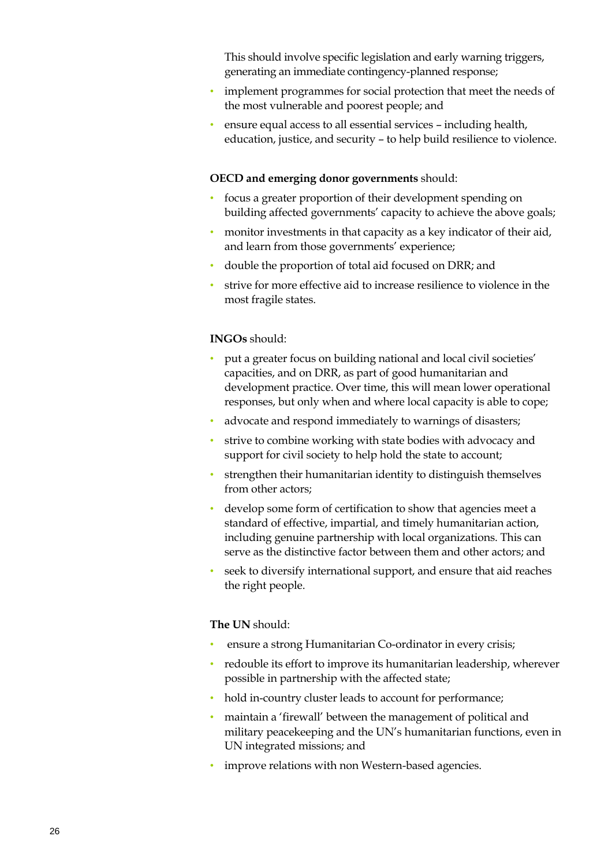This should involve specific legislation and early warning triggers, generating an immediate contingency-planned response;

- implement programmes for social protection that meet the needs of the most vulnerable and poorest people; and
- ensure equal access to all essential services including health, education, justice, and security – to help build resilience to violence.

#### **OECD and emerging donor governments** should:

- focus a greater proportion of their development spending on building affected governments' capacity to achieve the above goals;
- monitor investments in that capacity as a key indicator of their aid, and learn from those governments' experience;
- double the proportion of total aid focused on DRR; and
- strive for more effective aid to increase resilience to violence in the most fragile states.

#### **INGOs** should:

- put a greater focus on building national and local civil societies' capacities, and on DRR, as part of good humanitarian and development practice. Over time, this will mean lower operational responses, but only when and where local capacity is able to cope;
- advocate and respond immediately to warnings of disasters;
- strive to combine working with state bodies with advocacy and support for civil society to help hold the state to account;
- strengthen their humanitarian identity to distinguish themselves from other actors;
- develop some form of certification to show that agencies meet a standard of effective, impartial, and timely humanitarian action, including genuine partnership with local organizations. This can serve as the distinctive factor between them and other actors; and
- seek to diversify international support, and ensure that aid reaches the right people.

#### **The UN** should:

- ensure a strong Humanitarian Co-ordinator in every crisis;
- redouble its effort to improve its humanitarian leadership, wherever possible in partnership with the affected state;
- hold in-country cluster leads to account for performance;
- maintain a 'firewall' between the management of political and military peacekeeping and the UN's humanitarian functions, even in UN integrated missions; and
- improve relations with non Western-based agencies.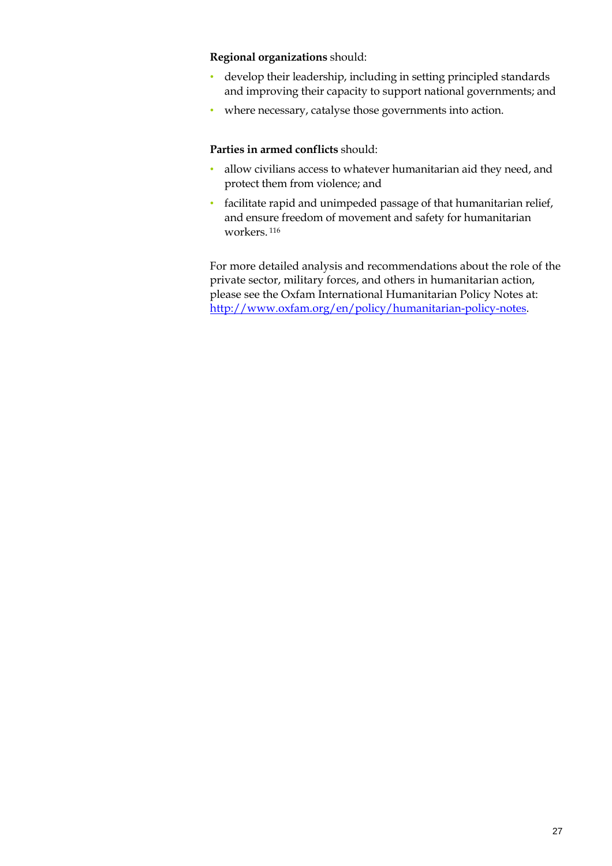#### **Regional organizations** should:

- develop their leadership, including in setting principled standards and improving their capacity to support national governments; and
- where necessary, catalyse those governments into action.

#### **Parties in armed conflicts** should:

- allow civilians access to whatever humanitarian aid they need, and protect them from violence; and
- facilitate rapid and unimpeded passage of that humanitarian relief, and ensure freedom of movement and safety for humanitarian workers. 116

For more detailed analysis and recommendations about the role of the private sector, military forces, and others in humanitarian action, please see the Oxfam International Humanitarian Policy Notes at: http://www.oxfam.org/en/policy/humanitarian-policy-notes.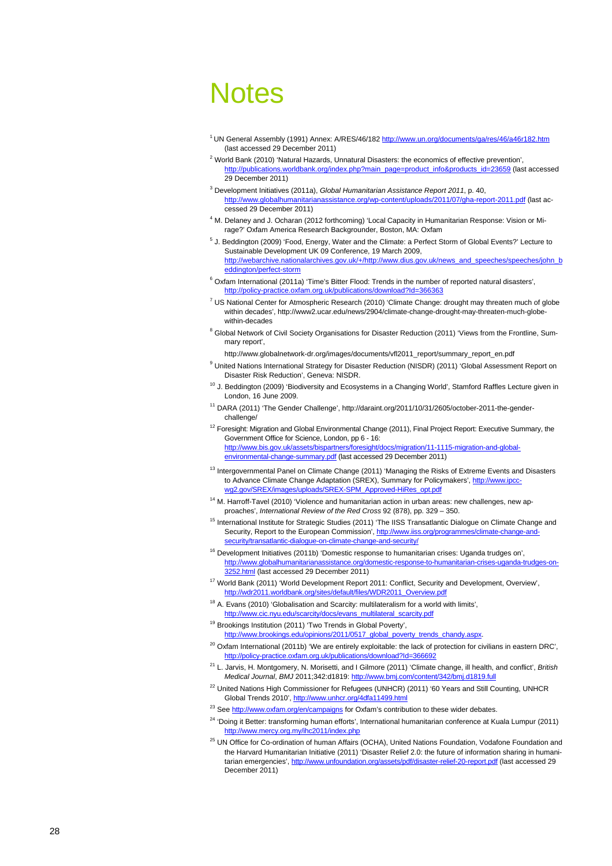## Notes

- 1 UN General Assembly (1991) Annex: A/RES/46/182 http://www.un.org/documents/ga/res/46/a46r182.htm (last accessed 29 December 2011)
- <sup>2</sup> World Bank (2010) 'Natural Hazards, Unnatural Disasters: the economics of effective prevention', http://publications.worldbank.org/index.php?main\_page=product\_info&products\_id=23659 (last accessed 29 December 2011)
- 3 Development Initiatives (2011a), *Global Humanitarian Assistance Report 2011*, p. 40, http://www.globalhumanitarianassistance.org/wp-content/uploads/2011/07/gha-report-2011.pdf (last accessed 29 December 2011)
- <sup>4</sup> M. Delaney and J. Ocharan (2012 forthcoming) 'Local Capacity in Humanitarian Response: Vision or Mirage?' Oxfam America Research Backgrounder, Boston, MA: Oxfam
- <sup>5</sup> J. Beddington (2009) 'Food, Energy, Water and the Climate: a Perfect Storm of Global Events?' Lecture to Sustainable Development UK 09 Conference, 19 March 2009, http://webarchive.nationalarchives.gov.uk/+/http://www.dius.gov.uk/news\_and\_speeches/speeches/john\_b eddington/perfect-storm
- <sup>6</sup> Oxfam International (2011a) 'Time's Bitter Flood: Trends in the number of reported natural disasters', http://policy-practice.oxfam.org.uk/publications/download?Id=366363
- <sup>7</sup> US National Center for Atmospheric Research (2010) 'Climate Change: drought may threaten much of globe within decades', http://www2.ucar.edu/news/2904/climate-change-drought-may-threaten-much-globewithin-decades
- <sup>8</sup> Global Network of Civil Society Organisations for Disaster Reduction (2011) 'Views from the Frontline, Summary report',

http://www.globalnetwork-dr.org/images/documents/vfl2011\_report/summary\_report\_en.pdf

- <sup>9</sup> United Nations International Strategy for Disaster Reduction (NISDR) (2011) 'Global Assessment Report on Disaster Risk Reduction', Geneva: NISDR.
- <sup>10</sup> J. Beddington (2009) 'Biodiversity and Ecosystems in a Changing World', Stamford Raffles Lecture given in London, 16 June 2009.
- 11 DARA (2011) 'The Gender Challenge', http://daraint.org/2011/10/31/2605/october-2011-the-genderchallenge/
- <sup>12</sup> Foresight: Migration and Global Environmental Change (2011), Final Project Report: Executive Summary, the Government Office for Science, London, pp 6 - 16: http://www.bis.gov.uk/assets/bispartners/foresight/docs/migration/11-1115-migration-and-globalenvironmental-change-summary.pdf (last accessed 29 December 2011)
- <sup>13</sup> Intergovernmental Panel on Climate Change (2011) 'Managing the Risks of Extreme Events and Disasters to Advance Climate Change Adaptation (SREX), Summary for Policymakers', http://www.ipccwg2.gov/SREX/images/uploads/SREX-SPM\_Approved-HiRes\_opt.pdf
- <sup>14</sup> M. Harroff-Tavel (2010) 'Violence and humanitarian action in urban areas: new challenges, new approaches', *International Review of the Red Cross* 92 (878), pp. 329 – 350.
- 15 International Institute for Strategic Studies (2011) 'The IISS Transatlantic Dialogue on Climate Change and Security, Report to the European Commission', http://www.iiss.org/programmes/climate-change-andsecurity/transatlantic-dialogue-on-climate-change-and-security/
- <sup>16</sup> Development Initiatives (2011b) 'Domestic response to humanitarian crises: Uganda trudges on', http://www.globalhumanitarianassistance.org/domestic-response-to-humanitarian-crises-uganda-trudges-on-3252.html (last accessed 29 December 2011)
- <sup>17</sup> World Bank (2011) 'World Development Report 2011: Conflict, Security and Development, Overview', http://wdr2011.worldbank.org/sites/default/files/WDR2011\_Overview.pd
- <sup>18</sup> A. Evans (2010) 'Globalisation and Scarcity: multilateralism for a world with limits', http://www.cic.nyu.edu/scarcity/docs/evans\_multilateral\_scarcity.pdf
- <sup>19</sup> Brookings Institution (2011) 'Two Trends in Global Poverty',

/opinions/2011/0517\_global\_poverty\_trends\_chandy.aspx.

- $20$  Oxfam International (2011b) 'We are entirely exploitable: the lack of protection for civilians in eastern DRC', http://policy-practice.oxfam.org.uk/publications/download?Id=366692
- 21 L. Jarvis, H. Montgomery, N. Morisetti, and I Gilmore (2011) 'Climate change, ill health, and conflict', *British Medical Journal*, *BMJ* 2011;342:d1819: http://www.bmj.com/content/342/bmj.d1819.full
- <sup>22</sup> United Nations High Commissioner for Refugees (UNHCR) (2011) '60 Years and Still Counting, UNHCR Global Trends 2010', http://www.unhcr.org/4dfa11499.htm
- <sup>23</sup> See http://www.oxfam.org/en/campaigns for Oxfam's contribution to these wider debates.
- <sup>24</sup> 'Doing it Better: transforming human efforts', International humanitarian conference at Kuala Lumpur (2011) http://www.mercy.org.my/ihc2011/index.php
- <sup>25</sup> UN Office for Co-ordination of human Affairs (OCHA), United Nations Foundation, Vodafone Foundation and the Harvard Humanitarian Initiative (2011) 'Disaster Relief 2.0: the future of information sharing in humanitarian emergencies', http://www.unfoundation.org/assets/pdf/disaster-relief-20-report.pdf (last accessed 29 December 2011)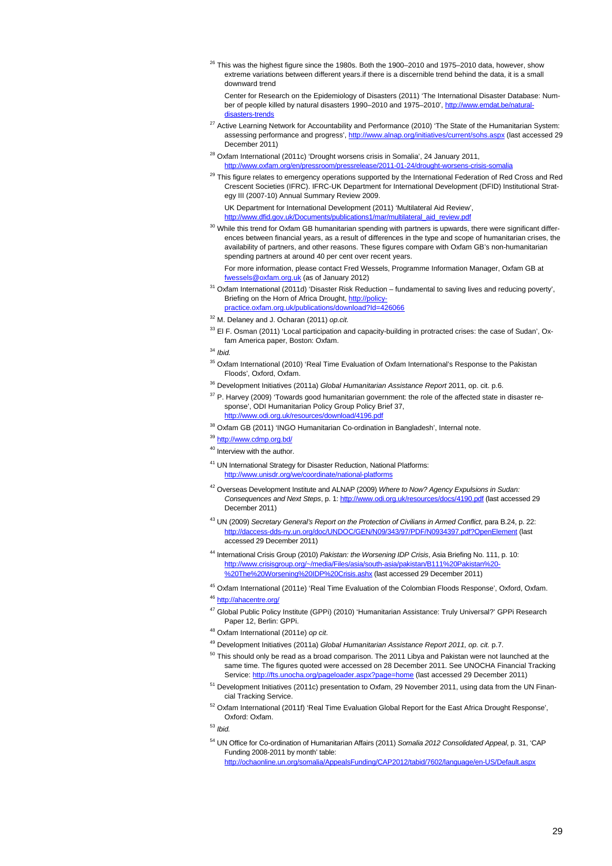$^{26}$  This was the highest figure since the 1980s. Both the 1900–2010 and 1975–2010 data, however, show extreme variations between different years.if there is a discernible trend behind the data, it is a small downward trend

 Center for Research on the Epidemiology of Disasters (2011) 'The International Disaster Database: Number of people killed by natural disasters 1990–2010 and 1975–2010', http://www.emdat.be/naturaldisasters-trends

- <sup>27</sup> Active Learning Network for Accountability and Performance (2010) 'The State of the Humanitarian System: assessing performance and progress', http://www.alnap.org/initiatives/current/sohs.aspx (last accessed 29 December 2011)
- <sup>28</sup> Oxfam International (2011c) 'Drought worsens crisis in Somalia', 24 January 2011, http://www.oxfam.org/en/pressroom/pressrelease/2011-01-24/drought-worsens-crisis-somalia
- <sup>29</sup> This figure relates to emergency operations supported by the International Federation of Red Cross and Red Crescent Societies (IFRC). IFRC-UK Department for International Development (DFID) Institutional Strategy III (2007-10) Annual Summary Review 2009.

 UK Department for International Development (2011) 'Multilateral Aid Review', http://www.dfid.gov.uk/Documents/publications1/mar/multilateral\_aid\_review.pdf

 $30$  While this trend for Oxfam GB humanitarian spending with partners is upwards, there were significant differences between financial years, as a result of differences in the type and scope of humanitarian crises, the availability of partners, and other reasons. These figures compare with Oxfam GB's non-humanitarian spending partners at around 40 per cent over recent years.

 For more information, please contact Fred Wessels, Programme Information Manager, Oxfam GB at fwessels@oxfam.org.uk (as of January 2012)

- <sup>31</sup> Oxfam International (2011d) 'Disaster Risk Reduction fundamental to saving lives and reducing poverty', Briefing on the Horn of Africa Drought, http://policypractice.oxfam.org.uk/publications/download?Id=426066
- 
- 32 M. Delaney and J. Ocharan (2011) *op.cit.*
- 33 El F. Osman (2011) 'Local participation and capacity-building in protracted crises: the case of Sudan', Oxfam America paper, Boston: Oxfam.

<sup>34</sup> *Ibid.*

- <sup>35</sup> Oxfam International (2010) 'Real Time Evaluation of Oxfam International's Response to the Pakistan Floods', Oxford, Oxfam.
- 36 Development Initiatives (2011a) *Global Humanitarian Assistance Report* 2011, op. cit. p.6.
- <sup>37</sup> P. Harvey (2009) 'Towards good humanitarian government: the role of the affected state in disaster response', ODI Humanitarian Policy Group Policy Brief 37, http://www.odi.org.uk/resources/download/4196.pdf
- 38 Oxfam GB (2011) 'INGO Humanitarian Co-ordination in Bangladesh', Internal note.
- <sup>39</sup> http://www.cdmp.org.bd/
- <sup>40</sup> Interview with the author.
- 41 UN International Strategy for Disaster Reduction, National Platforms: http://www.unisdr.org/we/coordinate/national-platforms
- 42 Overseas Development Institute and ALNAP (2009) *Where to Now? Agency Expulsions in Sudan: Consequences and Next Steps*, p. 1: http://www.odi.org.uk/resources/docs/4190.pdf (last accessed 29 December 2011)
- 43 UN (2009) *Secretary General's Report on the Protection of Civilians in Armed Conflict*, para B.24, p. 22: http://daccess-dds-ny.un.org/doc/UNDOC/GEN/N09/343/97/PDF/N0934397.pdf?OpenElement (last accessed 29 December 2011)
- 44 International Crisis Group (2010) *Pakistan: the Worsening IDP Crisis*, Asia Briefing No. 111, p. 10: http://www.crisisgroup.org/~/media/Files/asia/south-asia/pakistan/B111%20Pakistan%20- %20The%20Worsening%20IDP%20Crisis.ashx (last accessed 29 December 2011)

45 Oxfam International (2011e) 'Real Time Evaluation of the Colombian Floods Response', Oxford, Oxfam.

46 http://ahacentre.org/

- <sup>47</sup> Global Public Policy Institute (GPPi) (2010) 'Humanitarian Assistance: Truly Universal?' GPPi Research Paper 12, Berlin: GPPi.
- 48 Oxfam International (2011e) *op cit*.
- 49 Development Initiatives (2011a) *Global Humanitarian Assistance Report 2011, op. cit.* p.7.
- $50$  This should only be read as a broad comparison. The 2011 Libya and Pakistan were not launched at the same time. The figures quoted were accessed on 28 December 2011. See UNOCHA Financial Tracking Service: http://fts.unocha.org/pageloader.aspx?page=home (last accessed 29 December 2011)
- <sup>51</sup> Development Initiatives (2011c) presentation to Oxfam, 29 November 2011, using data from the UN Financial Tracking Service.
- 52 Oxfam International (2011f) 'Real Time Evaluation Global Report for the East Africa Drought Response', Oxford: Oxfam.

<sup>53</sup> *Ibid.* 

54 UN Office for Co-ordination of Humanitarian Affairs (2011) *Somalia 2012 Consolidated Appeal*, p. 31, 'CAP Funding 2008-2011 by month' table: haonline.un.org/somalia/AppealsFunding/CAP2012/tabid/7602/language/en-US/Default.aspx

29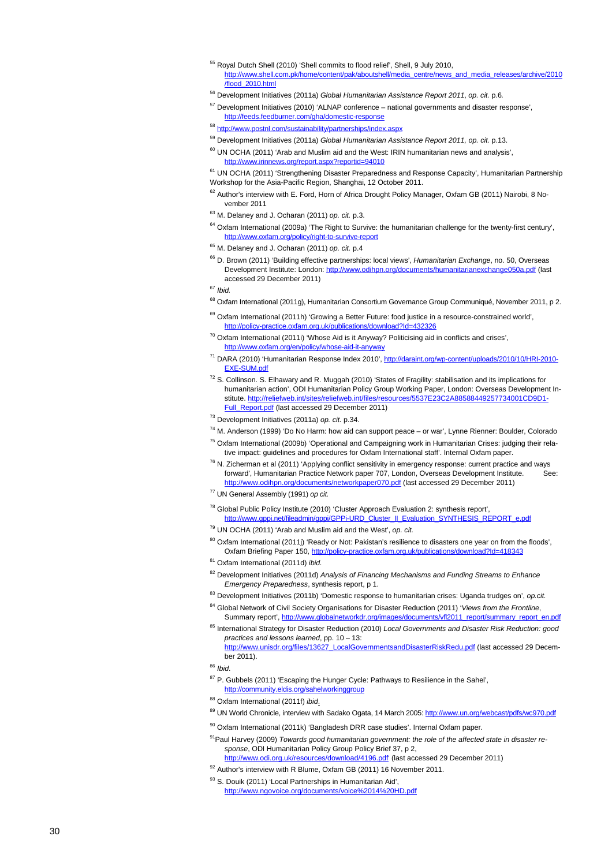- 55 Royal Dutch Shell (2010) 'Shell commits to flood relief', Shell, 9 July 2010, http://www.shell.com.pk/home/content/pak/aboutshell/media\_centre/news\_and\_media\_releases/archive/2010 /flood\_2010.html
- 56 Development Initiatives (2011a) *Global Humanitarian Assistance Report 2011*, *op. cit.* p.6*.*
- 57 Development Initiatives (2010) 'ALNAP conference national governments and disaster response', http://feeds.feedburner.com/gha/domestic-response
- <sup>58</sup> http://www.postnl.com/sustainability/partnerships/index.aspx
- 59 Development Initiatives (2011a) *Global Humanitarian Assistance Report 2011, op. cit.* p.13.
- $60$  UN OCHA (2011) 'Arab and Muslim aid and the West: IRIN humanitarian news and analysis', .aspx?reportid=94010

<sup>61</sup> UN OCHA (2011) 'Strengthening Disaster Preparedness and Response Capacity', Humanitarian Partnership Workshop for the Asia-Pacific Region, Shanghai, 12 October 2011.

- $62$  Author's interview with E. Ford, Horn of Africa Drought Policy Manager, Oxfam GB (2011) Nairobi, 8 November 2011
- 63 M. Delaney and J. Ocharan (2011) *op. cit.* p.3.
- <sup>64</sup> Oxfam International (2009a) 'The Right to Survive: the humanitarian challenge for the twenty-first century', http://www.oxfam.org/policy/right-to-survive-report
- 65 M. Delaney and J. Ocharan (2011) *op. cit.* p.4
- 66 D. Brown (2011) 'Building effective partnerships: local views', *Humanitarian Exchange*, no. 50, Overseas Development Institute: London: http://www.odihpn.org/documents/humanitarianexchange050a.pdf (last accessed 29 December 2011)

- <sup>68</sup> Oxfam International (2011g), Humanitarian Consortium Governance Group Communiqué, November 2011, p 2.
- <sup>69</sup> Oxfam International (2011h) 'Growing a Better Future: food justice in a resource-constrained world', http://policy-practice.oxfam.org.uk/publications/download?Id=432326
- $70$  Oxfam International (2011i) 'Whose Aid is it Anyway? Politicising aid in conflicts and crises', http://www.oxfam.org/en/policy/whose-aid-it-anyway
- <sup>71</sup> DARA (2010) 'Humanitarian Response Index 2010', http://daraint.org/wp-content/uploads/2010/10/HRI-2010-EXE-SUM.
- 72 S. Collinson. S. Elhawary and R. Muggah (2010) 'States of Fragility: stabilisation and its implications for humanitarian action', ODI Humanitarian Policy Group Working Paper, London: Overseas Development Institute. http://reliefweb.int/sites/reliefweb.int/files/resources/5537E23C2A88588449257734001CD9D1- Full\_Report.pdf (last accessed 29 December 2011)
- 73 Development Initiatives (2011a) *op. cit*. p.34.
- 74 M. Anderson (1999) 'Do No Harm: how aid can support peace or war', Lynne Rienner: Boulder, Colorado
- <sup>75</sup> Oxfam International (2009b) 'Operational and Campaigning work in Humanitarian Crises: judging their relative impact: guidelines and procedures for Oxfam International staff'. Internal Oxfam paper.
- $76$  N. Zicherman et al (2011) 'Applying conflict sensitivity in emergency response: current practice and ways forward', Humanitarian Practice Network paper 707, London, Overseas Development Institute. http://www.odihpn.org/documents/networkpaper070.pdf (last accessed 29 December 2011)
- 77 UN General Assembly (1991) *op cit.*
- $78$  Global Public Policy Institute (2010) 'Cluster Approach Evaluation 2: synthesis report', http://www.gppi.net/fileadmin/gppi/GPPi-URD\_Cluster\_II\_Evaluation\_SYNTHESIS\_REPORT\_e.pdf
- 79 UN OCHA (2011) 'Arab and Muslim aid and the West', *op. cit.*
- 80 Oxfam International (2011j) 'Ready or Not: Pakistan's resilience to disasters one year on from the floods', Oxfam Briefing Paper 150, http://policy-practice.oxfam.org.uk/publications/download?Id=418343
- 81 Oxfam International (2011d) *ibid.*
- 82 Development Initiatives (2011d) *Analysis of Financing Mechanisms and Funding Streams to Enhance Emergency Preparedness*, synthesis report, p 1.
- 83 Development Initiatives (2011b) 'Domestic response to humanitarian crises: Uganda trudges on', *op.cit.*
- <sup>84</sup> Global Network of Civil Society Organisations for Disaster Reduction (2011) '*Views from the Frontline*, Summary report', http://www.globalnetworkdr.org/images/documents/vfi2011\_report/summary\_report Summary report/summary\_report\_en.pdf
- 85 International Strategy for Disaster Reduction (2010) *Local Governments and Disaster Risk Reduction: good practices and lessons learned*, pp. 10 – 13: http://www.unisdr.org/files/13627\_LocalGovernmentsandDisasterRiskRedu.pdf (last accessed 29 Decem
	- ber 2011).

- <sup>87</sup> P. Gubbels (2011) 'Escaping the Hunger Cycle: Pathways to Resilience in the Sahel',
	- http://community.eldis.org/sahelworkinggroup
- 88 Oxfam International (2011f) *ibid*.
- 89 UN World Chronicle, interview with Sadako Ogata, 14 March 2005: http://www.un.org/webcast/pdfs/wc970.pdf
- 90 Oxfam International (2011k) 'Bangladesh DRR case studies'. Internal Oxfam paper.
- <sup>91</sup> Paul Harvey (2009) Towards good humanitarian government: the role of the affected state in disaster re*sponse*, ODI Humanitarian Policy Group Policy Brief 37, p 2,
- http://www.odi.org.uk/resources/download/4196.pdf (last accessed 29 December 2011)
- 92 Author's interview with R Blume, Oxfam GB (2011) 16 November 2011.
- 93 S. Douik (2011) 'Local Partnerships in Humanitarian Aid', http://www.ngovoice.org/documents/voice%2014%20HD.pdf

<sup>67</sup> *Ibid.* 

<sup>86</sup> *Ibid*.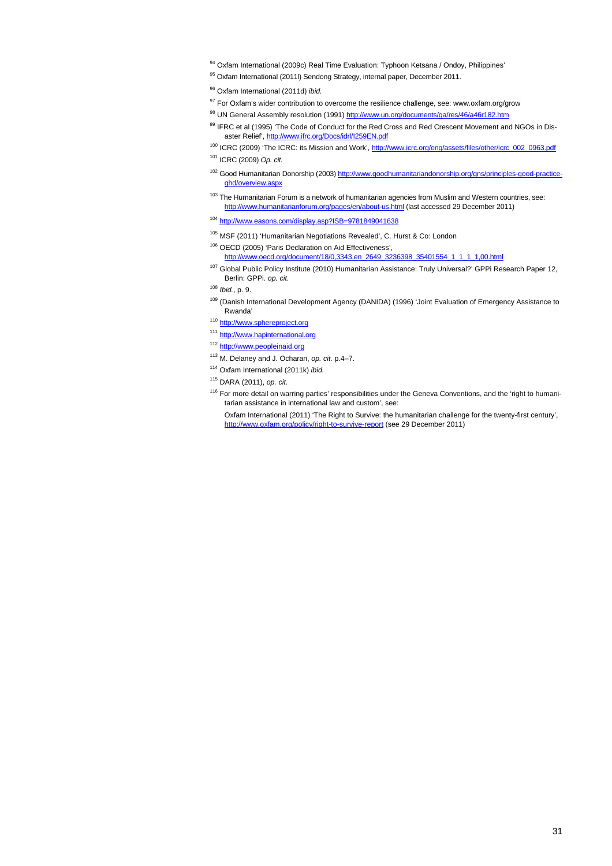- 94 Oxfam International (2009c) Real Time Evaluation: Typhoon Ketsana / Ondoy, Philippines'
- 95 Oxfam International (2011l) Sendong Strategy, internal paper, December 2011.
- 96 Oxfam International (2011d) *ibid.*
- <sup>97</sup> For Oxfam's wider contribution to overcome the resilience challenge, see: www.oxfam.org/grow
- 98 UN General Assembly resolution (1991) http://www.un.org/documents/ga/res/46/a46r182.htm
- 99 IFRC et al (1995) 'The Code of Conduct for the Red Cross and Red Crescent Movement and NGOs in Disaster Relief', http://www.ifrc.org/Docs/idrl/I259EN.pdf
- <sup>100</sup> ICRC (2009) 'The ICRC: its Mission and Work', http://www.icrc.org/eng/assets/files/other/icrc\_002\_0963.pdf 101 ICRC (2009) *Op. cit.*
- <sup>102</sup> Good Humanitarian Donorship (2003) http://www.goodhumanitariandonorship.org/gns/principles-good-practiceghd/overview.aspx
- <sup>103</sup> The Humanitarian Forum is a network of humanitarian agencies from Muslim and Western countries, see: http://www.humanitarianforum.org/pages/en/about-us.html (last accessed 29 December 2011)
- <sup>104</sup> http://www.easons.com/display.asp?ISB=9781849041638
- 105 MSF (2011) 'Humanitarian Negotiations Revealed', C. Hurst & Co: London
- 106 OECD (2005) 'Paris Declaration on Aid Effectiveness', http://www.oecd.org/document/18/0,3343,en\_2649\_3236398\_35401554\_1\_1\_1\_1,00.html
- 107 Global Public Policy Institute (2010) Humanitarian Assistance: Truly Universal?' GPPi Research Paper 12, Berlin: GPPi. *op. cit.*
- <sup>108</sup> *Ibid.*, p. 9.
- 109 (Danish International Development Agency (DANIDA) (1996) 'Joint Evaluation of Emergency Assistance to Rwanda'
- 110 http://www.sphereproject.org
- 111 http://www.hapinternational.org
- 112 http://www.peopleinaid.org
- 113 M. Delaney and J. Ocharan, *op. cit.* p.4–7.
- 114 Oxfam International (2011k) *ibid.*
- 115 DARA (2011), *op. cit.*
- <sup>116</sup> For more detail on warring parties' responsibilities under the Geneva Conventions, and the 'right to humanitarian assistance in international law and custom', see:

 Oxfam International (2011) 'The Right to Survive: the humanitarian challenge for the twenty-first century', http://www.oxfam.org/policy/right-to-survive-report (see 29 December 2011)